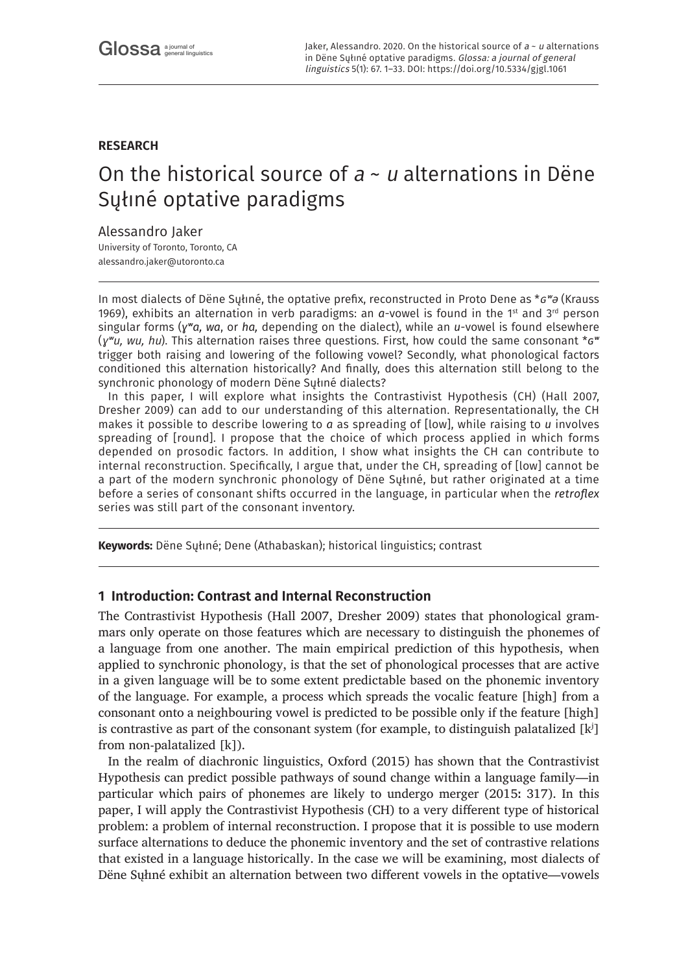# **RESEARCH**

# On the historical source of  $a \sim u$  alternations in Dëne Sųłıné optative paradigms

## Alessandro Jaker

University of Toronto, Toronto, CA [alessandro.jaker@utoronto.ca](mailto:alessandro.jaker@utoronto.ca)

In most dialects of Dëne Syłıné, the optative prefix, reconstructed in Proto Dene as  $* \sigma^w \partial$  (Krauss 1969), exhibits an alternation in verb paradigms: an *a*-vowel is found in the 1st and 3rd person singular forms (*ɣʷa, wa*, or *ha,* depending on the dialect), while an *u*-vowel is found elsewhere (ɣʷu, wu, hu). This alternation raises three questions. First, how could the same consonant \**ɢʷ* trigger both raising and lowering of the following vowel? Secondly, what phonological factors conditioned this alternation historically? And finally, does this alternation still belong to the synchronic phonology of modern Dëne Sųłıné dialects?

In this paper, I will explore what insights the Contrastivist Hypothesis (CH) (Hall 2007, Dresher 2009) can add to our understanding of this alternation. Representationally, the CH makes it possible to describe lowering to *a* as spreading of [low], while raising to *u* involves spreading of [round]. I propose that the choice of which process applied in which forms depended on prosodic factors. In addition, I show what insights the CH can contribute to internal reconstruction. Specifically, I argue that, under the CH, spreading of [low] cannot be a part of the modern synchronic phonology of Dëne Sųłıné, but rather originated at a time before a series of consonant shifts occurred in the language, in particular when the *retroflex* series was still part of the consonant inventory.

**Keywords:** Dëne Sųłıné; Dene (Athabaskan); historical linguistics; contrast

# **1 Introduction: Contrast and Internal Reconstruction**

The Contrastivist Hypothesis (Hall 2007, Dresher 2009) states that phonological grammars only operate on those features which are necessary to distinguish the phonemes of a language from one another. The main empirical prediction of this hypothesis, when applied to synchronic phonology, is that the set of phonological processes that are active in a given language will be to some extent predictable based on the phonemic inventory of the language. For example, a process which spreads the vocalic feature [high] from a consonant onto a neighbouring vowel is predicted to be possible only if the feature [high] is contrastive as part of the consonant system (for example, to distinguish palatalized  $[k^j]$ from non-palatalized [k]).

In the realm of diachronic linguistics, Oxford (2015) has shown that the Contrastivist Hypothesis can predict possible pathways of sound change within a language family—in particular which pairs of phonemes are likely to undergo merger (2015ː 317). In this paper, I will apply the Contrastivist Hypothesis (CH) to a very different type of historical problem: a problem of internal reconstruction. I propose that it is possible to use modern surface alternations to deduce the phonemic inventory and the set of contrastive relations that existed in a language historically. In the case we will be examining, most dialects of Dëne Sųłıné exhibit an alternation between two different vowels in the optative—vowels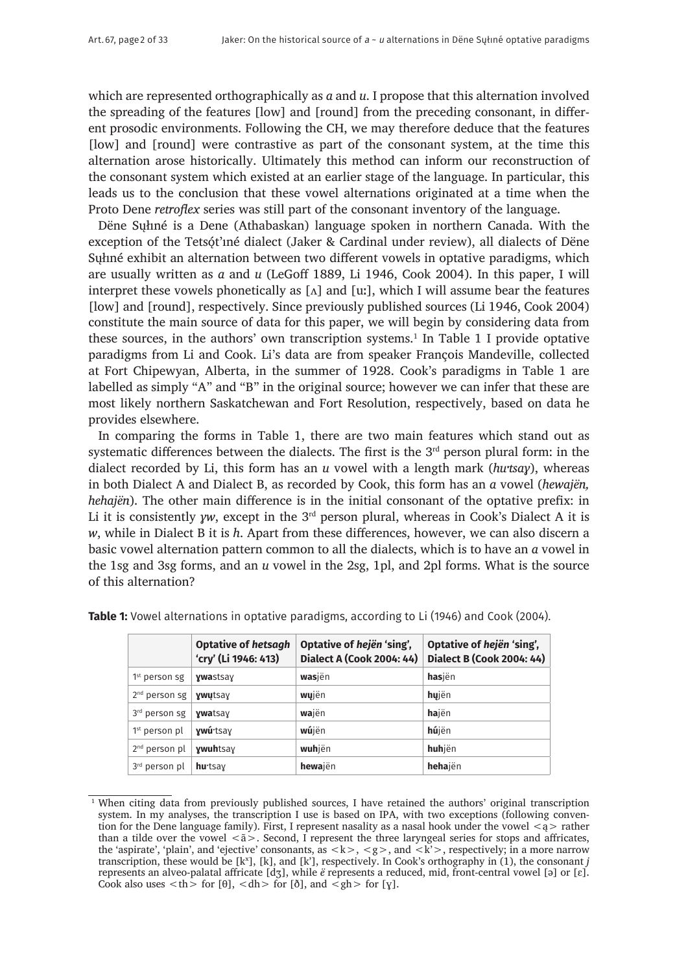which are represented orthographically as *a* and *u*. I propose that this alternation involved the spreading of the features [low] and [round] from the preceding consonant, in different prosodic environments. Following the CH, we may therefore deduce that the features [low] and [round] were contrastive as part of the consonant system, at the time this alternation arose historically. Ultimately this method can inform our reconstruction of the consonant system which existed at an earlier stage of the language. In particular, this leads us to the conclusion that these vowel alternations originated at a time when the Proto Dene *retroflex* series was still part of the consonant inventory of the language.

Dëne Sųłıné is a Dene (Athabaskan) language spoken in northern Canada. With the exception of the Tetsót'ıné dialect (Jaker & Cardinal under review), all dialects of Dëne Sųłıné exhibit an alternation between two different vowels in optative paradigms, which are usually written as *a* and *u* (LeGoff 1889, Li 1946, Cook 2004). In this paper, I will interpret these vowels phonetically as  $[\Lambda]$  and  $[\mu$ ; which I will assume bear the features [low] and [round], respectively. Since previously published sources (Li 1946, Cook 2004) constitute the main source of data for this paper, we will begin by considering data from these sources, in the authors' own transcription systems.<sup>1</sup> In Table 1 I provide optative paradigms from Li and Cook. Li's data are from speaker François Mandeville, collected at Fort Chipewyan, Alberta, in the summer of 1928. Cook's paradigms in Table 1 are labelled as simply "A" and "B" in the original source; however we can infer that these are most likely northern Saskatchewan and Fort Resolution, respectively, based on data he provides elsewhere.

In comparing the forms in Table 1, there are two main features which stand out as systematic differences between the dialects. The first is the  $3<sup>rd</sup>$  person plural form: in the dialect recorded by Li, this form has an *u* vowel with a length mark (*huˑtsaɣ*), whereas in both Dialect A and Dialect B, as recorded by Cook, this form has an *a* vowel (*hewajën, hehajën*). The other main difference is in the initial consonant of the optative prefix: in Li it is consistently *yw*, except in the 3<sup>rd</sup> person plural, whereas in Cook's Dialect A it is *w*, while in Dialect B it is *h*. Apart from these differences, however, we can also discern a basic vowel alternation pattern common to all the dialects, which is to have an *a* vowel in the 1sg and 3sg forms, and an *u* vowel in the 2sg, 1pl, and 2pl forms. What is the source of this alternation?

|                           | <b>Optative of hetsagh</b><br>'cry' (Li 1946: 413) | Optative of hejën 'sing',<br><b>Dialect A (Cook 2004: 44)</b> | Optative of hejën 'sing',<br><b>Dialect B (Cook 2004: 44)</b> |
|---------------------------|----------------------------------------------------|---------------------------------------------------------------|---------------------------------------------------------------|
| 1 <sup>st</sup> person sg | <b>ywastsay</b>                                    | wasjën                                                        | hasjën                                                        |
| $2nd$ person sg           | ywutsay                                            | wujën                                                         | hujën                                                         |
| 3 <sup>rd</sup> person sg | <b>ywatsay</b>                                     | wajën                                                         | hajën                                                         |
| 1 <sup>st</sup> person pl | ywú tsay                                           | wújën                                                         | hújën                                                         |
| $2nd$ person pl           | <b>ywuhtsay</b>                                    | wuhjën                                                        | huhjën                                                        |
| 3 <sup>rd</sup> person pl | hu tsay                                            | hewajën                                                       | hehajën                                                       |

**Table 1:** Vowel alternations in optative paradigms, according to Li (1946) and Cook (2004).

<sup>&</sup>lt;sup>1</sup> When citing data from previously published sources, I have retained the authors' original transcription system. In my analyses, the transcription I use is based on IPA, with two exceptions (following convention for the Dene language family). First, I represent nasality as a nasal hook under the vowel  $\langle a \rangle$  rather than a tilde over the vowel  $\langle \tilde{a} \rangle$ . Second, I represent the three laryngeal series for stops and affricates, the 'aspirate', 'plain', and 'ejective' consonants, as  $\langle k \rangle$ ,  $\langle g \rangle$ , and  $\langle k' \rangle$ , respectively; in a more narrow transcription, these would be [kˣ], [k], and [k'], respectively. In Cook's orthography in (1), the consonant *j* represents an alveo-palatal affricate [dʒ], while *ë* represents a reduced, mid, front-central vowel [ə] or [ɛ]. Cook also uses  $\langle th \rangle$  for [ $\theta$ ],  $\langle dh \rangle$  for [ $\delta$ ], and  $\langle gh \rangle$  for [ $\gamma$ ].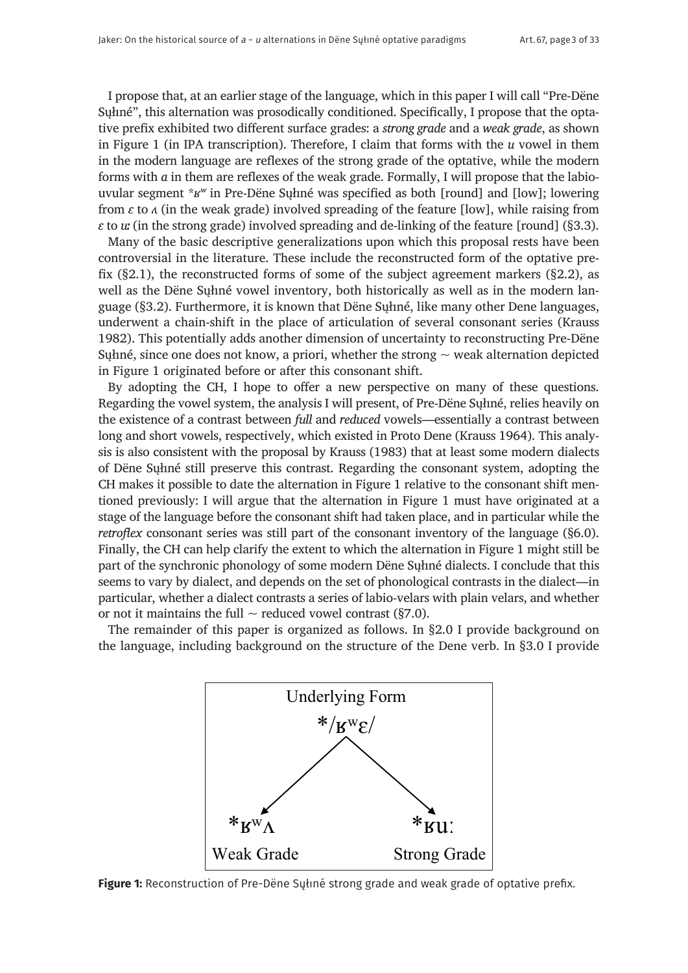I propose that, at an earlier stage of the language, which in this paper I will call "Pre-Dëne Sųłıné", this alternation was prosodically conditioned. Specifically, I propose that the optative prefix exhibited two different surface grades: a *strong grade* and a *weak grade*, as shown in Figure 1 (in IPA transcription). Therefore, I claim that forms with the *u* vowel in them in the modern language are reflexes of the strong grade of the optative, while the modern forms with *a* in them are reflexes of the weak grade. Formally, I will propose that the labiouvular segment \**ʁʷ* in Pre-Dëne Sųłıné was specified as both [round] and [low]; lowering from  $\varepsilon$  to  $\Lambda$  (in the weak grade) involved spreading of the feature [low], while raising from *ɛ* to *uː* (in the strong grade) involved spreading and de-linking of the feature [round] (§3.3).

Many of the basic descriptive generalizations upon which this proposal rests have been controversial in the literature. These include the reconstructed form of the optative prefix  $(\S2.1)$ , the reconstructed forms of some of the subject agreement markers  $(\S2.2)$ , as well as the Dëne Sųłıné vowel inventory, both historically as well as in the modern language (§3.2). Furthermore, it is known that Dëne Sųłıné, like many other Dene languages, underwent a chain-shift in the place of articulation of several consonant series (Krauss 1982). This potentially adds another dimension of uncertainty to reconstructing Pre-Dëne Sųłiné, since one does not know, a priori, whether the strong  $\sim$  weak alternation depicted in Figure 1 originated before or after this consonant shift.

By adopting the CH, I hope to offer a new perspective on many of these questions. Regarding the vowel system, the analysis I will present, of Pre-Dëne Sųłıné, relies heavily on the existence of a contrast between *full* and *reduced* vowels—essentially a contrast between long and short vowels, respectively, which existed in Proto Dene (Krauss 1964). This analysis is also consistent with the proposal by Krauss (1983) that at least some modern dialects of Dëne Sųłıné still preserve this contrast. Regarding the consonant system, adopting the CH makes it possible to date the alternation in Figure 1 relative to the consonant shift mentioned previously: I will argue that the alternation in Figure 1 must have originated at a stage of the language before the consonant shift had taken place, and in particular while the *retroflex* consonant series was still part of the consonant inventory of the language (§6.0). Finally, the CH can help clarify the extent to which the alternation in Figure 1 might still be part of the synchronic phonology of some modern Dëne Sųłıné dialects. I conclude that this seems to vary by dialect, and depends on the set of phonological contrasts in the dialect—in particular, whether a dialect contrasts a series of labio-velars with plain velars, and whether or not it maintains the full  $\sim$  reduced vowel contrast (§7.0).

The remainder of this paper is organized as follows. In §2.0 I provide background on the language, including background on the structure of the Dene verb. In §3.0 I provide



**Figure 1:** Reconstruction of Pre-Dëne Sųłıné strong grade and weak grade of optative prefix.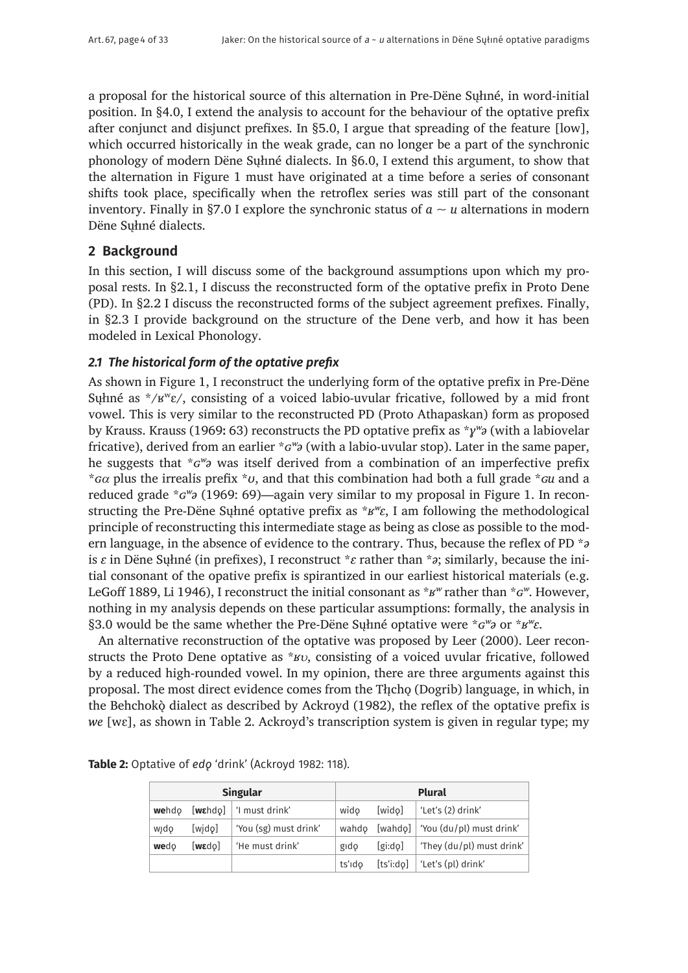a proposal for the historical source of this alternation in Pre-Dëne Sųłıné, in word-initial position. In §4.0, I extend the analysis to account for the behaviour of the optative prefix after conjunct and disjunct prefixes. In §5.0, I argue that spreading of the feature [low], which occurred historically in the weak grade, can no longer be a part of the synchronic phonology of modern Dëne Sųłıné dialects. In §6.0, I extend this argument, to show that the alternation in Figure 1 must have originated at a time before a series of consonant shifts took place, specifically when the retroflex series was still part of the consonant inventory. Finally in §7.0 I explore the synchronic status of  $a \sim u$  alternations in modern Dëne Sųłıné dialects.

# **2 Background**

In this section, I will discuss some of the background assumptions upon which my proposal rests. In §2.1, I discuss the reconstructed form of the optative prefix in Proto Dene (PD). In §2.2 I discuss the reconstructed forms of the subject agreement prefixes. Finally, in §2.3 I provide background on the structure of the Dene verb, and how it has been modeled in Lexical Phonology.

#### *2.1 The historical form of the optative prefix*

As shown in Figure 1, I reconstruct the underlying form of the optative prefix in Pre-Dëne Suhné as  $\angle K$ <sup>w</sup> $\varepsilon$ , consisting of a voiced labio-uvular fricative, followed by a mid front vowel. This is very similar to the reconstructed PD (Proto Athapaskan) form as proposed by Krauss. Krauss (1969ː 63) reconstructs the PD optative prefix as \**ɣʷə* (with a labiovelar fricative), derived from an earlier \**ɢʷə* (with a labio-uvular stop). Later in the same paper, he suggests that \**ɢʷə* was itself derived from a combination of an imperfective prefix \**ɢ*α plus the irrealis prefix \**ʊ*, and that this combination had both a full grade \**ɢu* and a reduced grade \**ɢʷə* (1969: 69)—again very similar to my proposal in Figure 1. In reconstructing the Pre-Dëne Sųłıné optative prefix as \**ʁʷɛ*, I am following the methodological principle of reconstructing this intermediate stage as being as close as possible to the modern language, in the absence of evidence to the contrary. Thus, because the reflex of PD \**ə* is *ɛ* in Dëne Sųłıné (in prefixes), I reconstruct \**ɛ* rather than \**ə*; similarly, because the initial consonant of the opative prefix is spirantized in our earliest historical materials (e.g. LeGoff 1889, Li 1946), I reconstruct the initial consonant as \**ʁʷ* rather than \**ɢʷ*. However, nothing in my analysis depends on these particular assumptions: formally, the analysis in §3.0 would be the same whether the Pre-Dëne Sųłıné optative were \**ɢʷə* or \**ʁʷɛ*.

An alternative reconstruction of the optative was proposed by Leer (2000). Leer reconstructs the Proto Dene optative as \**ʁ*υ, consisting of a voiced uvular fricative, followed by a reduced high-rounded vowel. In my opinion, there are three arguments against this proposal. The most direct evidence comes from the Theologrib) language, in which, in the Behchokò dialect as described by Ackroyd (1982), the reflex of the optative prefix is *we* [wɛ], as shown in Table 2. Ackroyd's transcription system is given in regular type; my

| <b>Singular</b> |                    |                       | <b>Plural</b> |           |                                            |  |
|-----------------|--------------------|-----------------------|---------------|-----------|--------------------------------------------|--|
| wehdo           | [webd]             | 'I must drink'        | wido          | [wido]    | 'Let's (2) drink'                          |  |
| wido            | [wido]             | 'You (sg) must drink' |               |           | wahdo [wahdo]   'You $(du/pl)$ must drink' |  |
| wedo            | $[w \epsilon d$ o] | 'He must drink'       | gido          | [gi:do]   | 'They (du/pl) must drink'                  |  |
|                 |                    |                       | ts'ido        | [ts'i:do] | 'Let's (pl) drink'                         |  |

**Table 2:** Optative of *edǫ* 'drink' (Ackroyd 1982: 118).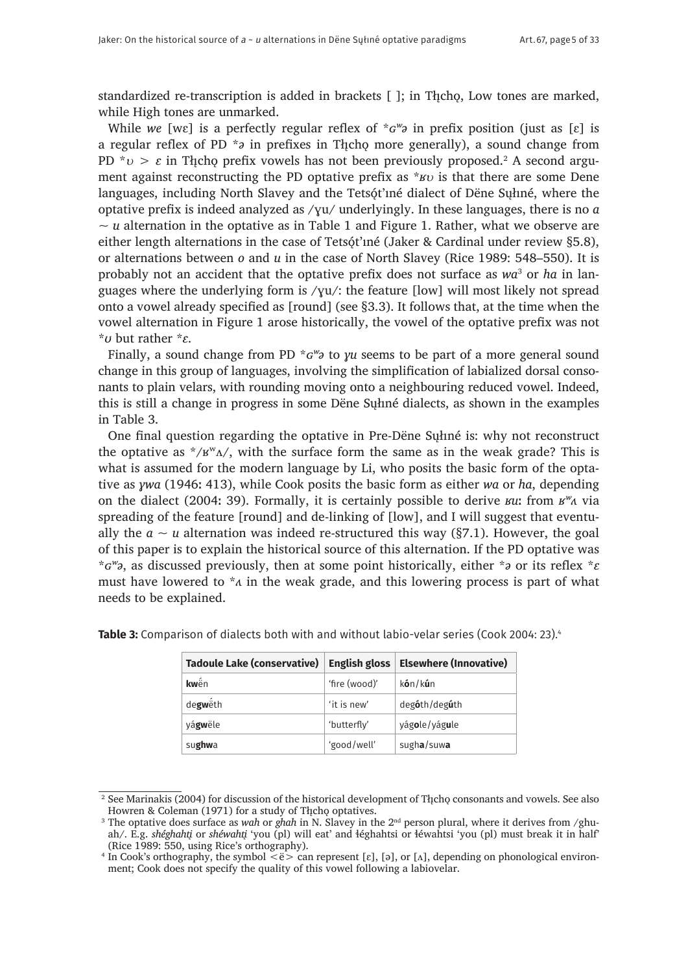standardized re-transcription is added in brackets  $\lceil \cdot \rceil$ ; in Theo, Low tones are marked, while High tones are unmarked.

While *we* [wɛ] is a perfectly regular reflex of \**ɢʷə* in prefix position (just as [ɛ] is a regular reflex of PD \**a* in prefixes in Thcho more generally), a sound change from PD  $^*v > ε$  in Tłįchǫ prefix vowels has not been previously proposed.<sup>2</sup> A second argument against reconstructing the PD optative prefix as \**ʁ*υ is that there are some Dene languages, including North Slavey and the Tets $\phi$ <sup>t</sup> iné dialect of Dëne Suhné, where the optative prefix is indeed analyzed as /ɣu/ underlyingly. In these languages, there is no *a*   $\sim u$  alternation in the optative as in Table 1 and Figure 1. Rather, what we observe are either length alternations in the case of Tetsǫ́t'ıne (Jaker & Cardinal under review §5.8), or alternations between *o* and *u* in the case of North Slavey (Rice 1989: 548–550). It is probably not an accident that the optative prefix does not surface as wa<sup>3</sup> or *ha* in languages where the underlying form is /ɣu/: the feature [low] will most likely not spread onto a vowel already specified as [round] (see §3.3). It follows that, at the time when the vowel alternation in Figure 1 arose historically, the vowel of the optative prefix was not \**ʊ* but rather \**ɛ*. 4

Finally, a sound change from PD  $*G''$  to *yu* seems to be part of a more general sound change in this group of languages, involving the simplification of labialized dorsal consonants to plain velars, with rounding moving onto a neighbouring reduced vowel. Indeed, this is still a change in progress in some Dëne Sųłıné dialects, as shown in the examples in Table 3.

One final question regarding the optative in Pre-Dëne Sųłıné is: why not reconstruct the optative as  $*/v^{w}$ <sup> $\Lambda$ </sup>, with the surface form the same as in the weak grade? This is what is assumed for the modern language by Li, who posits the basic form of the optative as *ɣwa* (1946ː 413), while Cook posits the basic form as either *wa* or *ha*, depending on the dialect (2004ː 39). Formally, it is certainly possible to derive *ʁu*ː from *ʁʷʌ* via spreading of the feature [round] and de-linking of [low], and I will suggest that eventually the  $a \sim u$  alternation was indeed re-structured this way (§7.1). However, the goal of this paper is to explain the historical source of this alternation. If the PD optative was \**ɢʷə*, as discussed previously, then at some point historically, either \**ə* or its reflex \**ɛ* must have lowered to \**ʌ* in the weak grade, and this lowering process is part of what needs to be explained.

| <b>Tadoule Lake (conservative)</b> | <b>English gloss</b> | <b>Elsewhere (Innovative)</b>   |
|------------------------------------|----------------------|---------------------------------|
| <b>kw</b> ên                       | 'fire (wood)'        | kón/kún                         |
| degweth                            | 'it is new'          | deg <b>ó</b> th/deg <b>ú</b> th |
| vágwële                            | 'butterfly'          | yágole/yágule                   |
| sughwa                             | 'good/well'          | sugha/suwa                      |

**Table 3:** Comparison of dialects both with and without labio-velar series (Cook 2004: 23).<sup>4</sup>

<sup>&</sup>lt;sup>2</sup> See Marinakis (2004) for discussion of the historical development of Tłįchǫ consonants and vowels. See also Howren & Coleman (1971) for a study of Theoho optatives.

<sup>&</sup>lt;sup>3</sup> The optative does surface as *wah* or *ghah* in N. Slavey in the 2<sup>nd</sup> person plural, where it derives from /ghuah/. E.g. *shéghahti*̨ or *shéwahti*̨ 'you (pl) will eat' and ɬéghahtsi or ɬéwahtsi 'you (pl) must break it in half' (Rice 1989: 550, using Rice's orthography).

<sup>&</sup>lt;sup>4</sup> In Cook's orthography, the symbol  $\leq e$  an represent [ɛ], [ə], or [ʌ], depending on phonological environment; Cook does not specify the quality of this vowel following a labiovelar.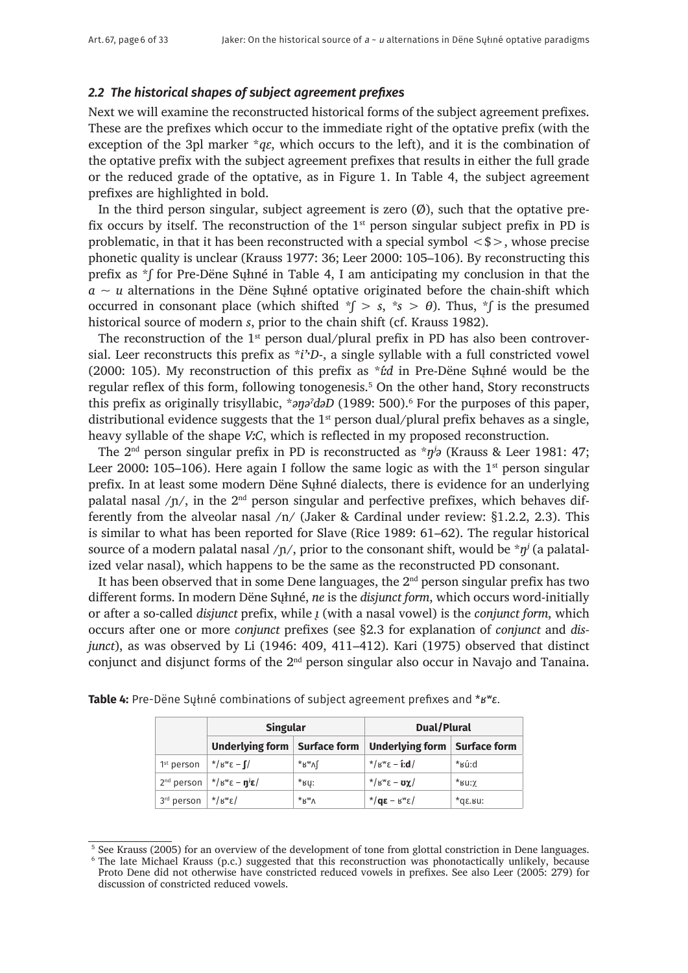## *2.2 The historical shapes of subject agreement prefixes*

Next we will examine the reconstructed historical forms of the subject agreement prefixes. These are the prefixes which occur to the immediate right of the optative prefix (with the exception of the 3pl marker  $*q\varepsilon$ , which occurs to the left), and it is the combination of the optative prefix with the subject agreement prefixes that results in either the full grade or the reduced grade of the optative, as in Figure 1. In Table 4, the subject agreement prefixes are highlighted in bold.

In the third person singular, subject agreement is zero  $(\emptyset)$ , such that the optative prefix occurs by itself. The reconstruction of the  $1<sup>st</sup>$  person singular subject prefix in PD is problematic, in that it has been reconstructed with a special symbol  $\langle$ \$ $\rangle$ , whose precise phonetic quality is unclear (Krauss 1977: 36; Leer 2000: 105–106). By reconstructing this prefix as \**ʃ* for Pre-Dëne Sųłıné in Table 4, I am anticipating my conclusion in that the *a ~ u* alternations in the Dëne Sųłıné optative originated before the chain-shift which occurred in consonant place (which shifted  $\check{\ }$  > s,  $\check{\ }$ s >  $\theta$ ). Thus,  $\check{\ }$  is the presumed historical source of modern *s*, prior to the chain shift (cf. Krauss 1982).

The reconstruction of the  $1<sup>st</sup>$  person dual/plural prefix in PD has also been controversial. Leer reconstructs this prefix as \**i*'<sup>*D*</sup>-, a single syllable with a full constricted vowel (2000: 105). My reconstruction of this prefix as \**íːd* in Pre-Dëne Sųłıné would be the regular reflex of this form, following tonogenesis.<sup>5</sup> On the other hand, Story reconstructs this prefix as originally trisyllabic, \**əŋəʔ dəD* (1989: 500).6 For the purposes of this paper, distributional evidence suggests that the  $1<sup>st</sup>$  person dual/plural prefix behaves as a single, heavy syllable of the shape *VːC*, which is reflected in my proposed reconstruction.

The 2nd person singular prefix in PD is reconstructed as \**ŋʲə* (Krauss & Leer 1981: 47; Leer 2000: 105–106). Here again I follow the same logic as with the  $1<sup>st</sup>$  person singular prefix. In at least some modern Dëne Sųłıné dialects, there is evidence for an underlying palatal nasal  $/p/$ , in the  $2<sup>nd</sup>$  person singular and perfective prefixes, which behaves differently from the alveolar nasal /n/ (Jaker & Cardinal under review: §1.2.2, 2.3). This is similar to what has been reported for Slave (Rice 1989: 61–62). The regular historical source of a modern palatal nasal / $\eta$ /, prior to the consonant shift, would be  $\pi \eta^j$  (a palatalized velar nasal), which happens to be the same as the reconstructed PD consonant.

It has been observed that in some Dene languages, the  $2<sup>nd</sup>$  person singular prefix has two different forms. In modern Dëne Sųłıné, *ne* is the *disjunct form*, which occurs word-initially or after a so-called *disjunct* prefix, while *ı*̨ (with a nasal vowel) is the *conjunct form*, which occurs after one or more *conjunct* prefixes (see §2.3 for explanation of *conjunct* and *disjunct*), as was observed by Li (1946: 409, 411–412). Kari (1975) observed that distinct conjunct and disjunct forms of the 2<sup>nd</sup> person singular also occur in Navajo and Tanaina.

|                                           | <b>Singular</b>                                        |                    | Dual/Plural                                 |                          |  |
|-------------------------------------------|--------------------------------------------------------|--------------------|---------------------------------------------|--------------------------|--|
|                                           | Underlying form   Surface form                         |                    | <b>Underlying form</b>                      | <b>Surface form</b>      |  |
| 1 <sup>st</sup> person                    | $\star$ / $B^w \epsilon - \int$                        | *R <sub>w</sub> VL | $*$ / $B^w \epsilon - i d$                  | *ĸú:d                    |  |
|                                           | $2nd$ person $\mid$ */ $Bwε - \mathbf{g}^{\dagger}$ ε/ | $*$ BU:            | $*$ / $s^w$ ε - <b>υγ</b> ./                | $*$ BU: $\chi$           |  |
| $3^{rd}$ person $\frac{*}{b^{w}}\epsilon$ |                                                        | $*_{K^{w}\Lambda}$ | $\mathbf{g} = \mathbf{g} \times \mathbf{g}$ | $*$ q $\varepsilon$ .Bu: |  |

**Table 4:** Pre-Dëne Sųłıné combinations of subject agreement prefixes and \**ʁʷɛ*.

<sup>5</sup> See Krauss (2005) for an overview of the development of tone from glottal constriction in Dene languages. <sup>6</sup> The late Michael Krauss (p.c.) suggested that this reconstruction was phonotactically unlikely, because Proto Dene did not otherwise have constricted reduced vowels in prefixes. See also Leer (2005: 279) for discussion of constricted reduced vowels.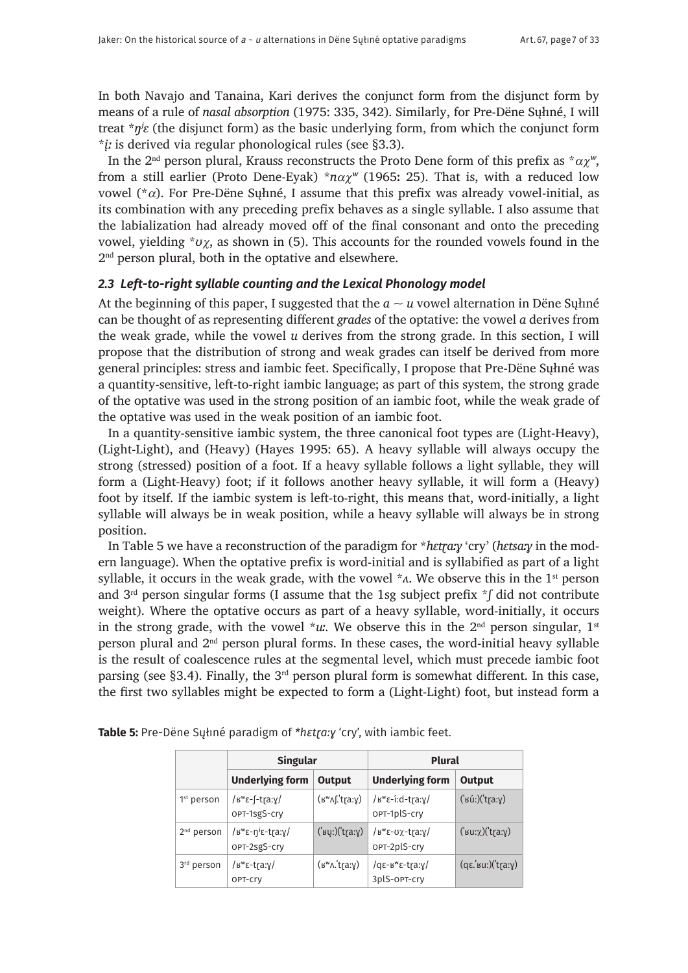In both Navajo and Tanaina, Kari derives the conjunct form from the disjunct form by means of a rule of *nasal absorption* (1975: 335, 342). Similarly, for Pre-Dëne Sųłıné, I will treat \**ŋʲɛ* (the disjunct form) as the basic underlying form, from which the conjunct form \**įː* is derived via regular phonological rules (see §3.3).

In the 2<sup>nd</sup> person plural, Krauss reconstructs the Proto Dene form of this prefix as  $*\alpha \chi^{\nu}$ , from a still earlier (Proto Dene-Eyak)  $*n\alpha\chi^{\nu}$  (1965: 25). That is, with a reduced low vowel ( $*$ α). For Pre-Dëne Sułiné, I assume that this prefix was already vowel-initial, as its combination with any preceding prefix behaves as a single syllable. I also assume that the labialization had already moved off of the final consonant and onto the preceding vowel, yielding \**ʊ*χ, as shown in (5). This accounts for the rounded vowels found in the 2<sup>nd</sup> person plural, both in the optative and elsewhere.

# *2.3 Left-to-right syllable counting and the Lexical Phonology model*

At the beginning of this paper, I suggested that the  $a \sim u$  vowel alternation in Dene Sylune can be thought of as representing different *grades* of the optative: the vowel *a* derives from the weak grade, while the vowel *u* derives from the strong grade. In this section, I will propose that the distribution of strong and weak grades can itself be derived from more general principles: stress and iambic feet. Specifically, I propose that Pre-Dëne Sųłıné was a quantity-sensitive, left-to-right iambic language; as part of this system, the strong grade of the optative was used in the strong position of an iambic foot, while the weak grade of the optative was used in the weak position of an iambic foot.

In a quantity-sensitive iambic system, the three canonical foot types are (Light-Heavy), (Light-Light), and (Heavy) (Hayes 1995: 65). A heavy syllable will always occupy the strong (stressed) position of a foot. If a heavy syllable follows a light syllable, they will form a (Light-Heavy) foot; if it follows another heavy syllable, it will form a (Heavy) foot by itself. If the iambic system is left-to-right, this means that, word-initially, a light syllable will always be in weak position, while a heavy syllable will always be in strong position.

In Table 5 we have a reconstruction of the paradigm for *\*hɛtraːy* 'cry' (*hɛtsaːy* in the modern language). When the optative prefix is word-initial and is syllabified as part of a light syllable, it occurs in the weak grade, with the vowel  $*_{\lambda}$ . We observe this in the 1<sup>st</sup> person and 3rd person singular forms (I assume that the 1sg subject prefix \**ʃ* did not contribute weight). Where the optative occurs as part of a heavy syllable, word-initially, it occurs in the strong grade, with the vowel  $*u$ . We observe this in the 2<sup>nd</sup> person singular, 1<sup>st</sup> person plural and 2nd person plural forms. In these cases, the word-initial heavy syllable is the result of coalescence rules at the segmental level, which must precede iambic foot parsing (see §3.4). Finally, the  $3<sup>rd</sup>$  person plural form is somewhat different. In this case, the first two syllables might be expected to form a (Light-Light) foot, but instead form a

|                        | <b>Singular</b>                                                                  |                                                       | <b>Plural</b>                                  |                                |  |
|------------------------|----------------------------------------------------------------------------------|-------------------------------------------------------|------------------------------------------------|--------------------------------|--|
|                        | <b>Underlying form</b>                                                           | <b>Output</b>                                         | <b>Underlying form</b>                         | <b>Output</b>                  |  |
| 1 <sup>st</sup> person | / $k^w$ ε-[-tra:γ/<br>OPT-1sgS-cry                                               | $(s^w \wedge f.ta: y)$                                | / $\mu^w \epsilon$ -í:d-tra:y/<br>OPT-1plS-cry | $(i\sin(i\theta))$             |  |
| $2nd$ person           | / $\mu^w \epsilon - \eta^j \epsilon - \text{tr}(\alpha, \gamma)$<br>OPT-2sgS-cry | ('ʁųː)('tr̥aːɣ)                                       | /εʷε-σχ-tra:γ/<br>OPT-2plS-cry                 | $('su:\chi)('tia:\chi)$        |  |
| 3rd person             | / $\mu^w \epsilon$ -tra:y/<br>OPT-Cry                                            | $(\forall w \land \forall \forall x \land \forall y)$ | /qε- $B^w$ ε-tra:γ/<br>3plS-OPT-cry            | $(q\varepsilon$ .'su:)('tra:y) |  |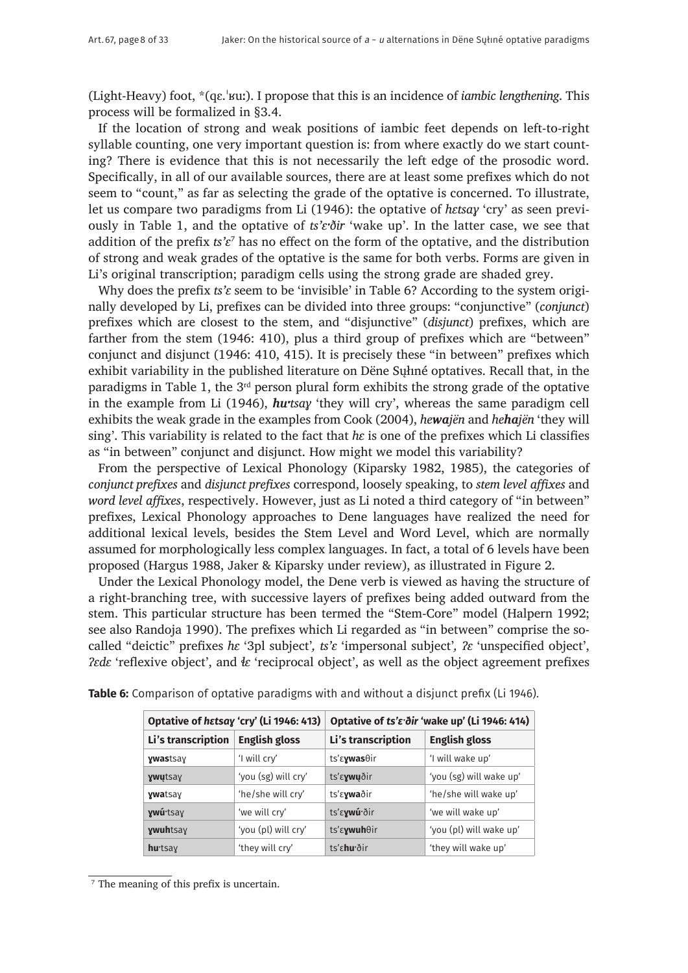(Light-Heavy) foot, \*(qɛ.ˈʁuː). I propose that this is an incidence of *iambic lengthening*. This process will be formalized in §3.4.

If the location of strong and weak positions of iambic feet depends on left-to-right syllable counting, one very important question is: from where exactly do we start counting? There is evidence that this is not necessarily the left edge of the prosodic word. Specifically, in all of our available sources, there are at least some prefixes which do not seem to "count," as far as selecting the grade of the optative is concerned. To illustrate, let us compare two paradigms from Li (1946): the optative of *hɛtsaɣ* 'cry' as seen previously in Table 1, and the optative of *ts'ɛˑðir* 'wake up'. In the latter case, we see that addition of the prefix *ts'ɛ*<sup>7</sup> has no effect on the form of the optative, and the distribution of strong and weak grades of the optative is the same for both verbs. Forms are given in Li's original transcription; paradigm cells using the strong grade are shaded grey.

Why does the prefix *ts'c* seem to be 'invisible' in Table 6? According to the system originally developed by Li, prefixes can be divided into three groups: "conjunctive" (*conjunct*) prefixes which are closest to the stem, and "disjunctive" (*disjunct*) prefixes, which are farther from the stem (1946: 410), plus a third group of prefixes which are "between" conjunct and disjunct (1946: 410, 415). It is precisely these "in between" prefixes which exhibit variability in the published literature on Dëne Sųłıné optatives. Recall that, in the paradigms in Table 1, the 3rd person plural form exhibits the strong grade of the optative in the example from Li (1946), *hutsay* 'they will cry', whereas the same paradigm cell exhibits the weak grade in the examples from Cook (2004), *hewajën* and *hehajën* 'they will sing'. This variability is related to the fact that *hɛ* is one of the prefixes which Li classifies as "in between" conjunct and disjunct. How might we model this variability?

From the perspective of Lexical Phonology (Kiparsky 1982, 1985), the categories of *conjunct prefixes* and *disjunct prefixes* correspond, loosely speaking, to *stem level affixes* and *word level affixes*, respectively. However, just as Li noted a third category of "in between" prefixes, Lexical Phonology approaches to Dene languages have realized the need for additional lexical levels, besides the Stem Level and Word Level, which are normally assumed for morphologically less complex languages. In fact, a total of 6 levels have been proposed (Hargus 1988, Jaker & Kiparsky under review), as illustrated in Figure 2.

Under the Lexical Phonology model, the Dene verb is viewed as having the structure of a right-branching tree, with successive layers of prefixes being added outward from the stem. This particular structure has been termed the "Stem-Core" model (Halpern 1992; see also Randoja 1990). The prefixes which Li regarded as "in between" comprise the socalled "deictic" prefixes *hɛ* '3pl subject'*, ts'ɛ* 'impersonal subject'*, ʔɛ* 'unspecified object', *ʔɛdɛ* 'reflexive object', and *ɬɛ* 'reciprocal object', as well as the object agreement prefixes

|                           | Optative of hatsay 'cry' (Li 1946: 413) | Optative of ts' rdir 'wake up' (Li 1946: 414) |                         |  |  |
|---------------------------|-----------------------------------------|-----------------------------------------------|-------------------------|--|--|
| Li's transcription        | <b>English gloss</b>                    | Li's transcription                            | <b>English gloss</b>    |  |  |
| <b>ywastsay</b>           | 'I will cry'                            | ts'ε <b>γwas</b> θir                          | 'I will wake up'        |  |  |
| ywutsay                   | 'you (sg) will cry'                     | ts' sywuðir                                   | 'you (sg) will wake up' |  |  |
| <b>ywatsay</b>            | 'he/she will cry'                       | ts'ε <b>γwa</b> ðir                           | 'he/she will wake up'   |  |  |
| ywú tsay                  | 'we will cry'                           | ts' sywú dir                                  | 'we will wake up'       |  |  |
| <b>ywuhtsay</b>           | 'you (pl) will cry'                     | ts'ε <b>χwuh</b> θir                          | 'you (pl) will wake up' |  |  |
| <b>hu</b> <sub>tsay</sub> | 'they will cry'                         | ts' shu dir                                   | 'they will wake up'     |  |  |

**Table 6:** Comparison of optative paradigms with and without a disjunct prefix (Li 1946).

<sup>7</sup> The meaning of this prefix is uncertain.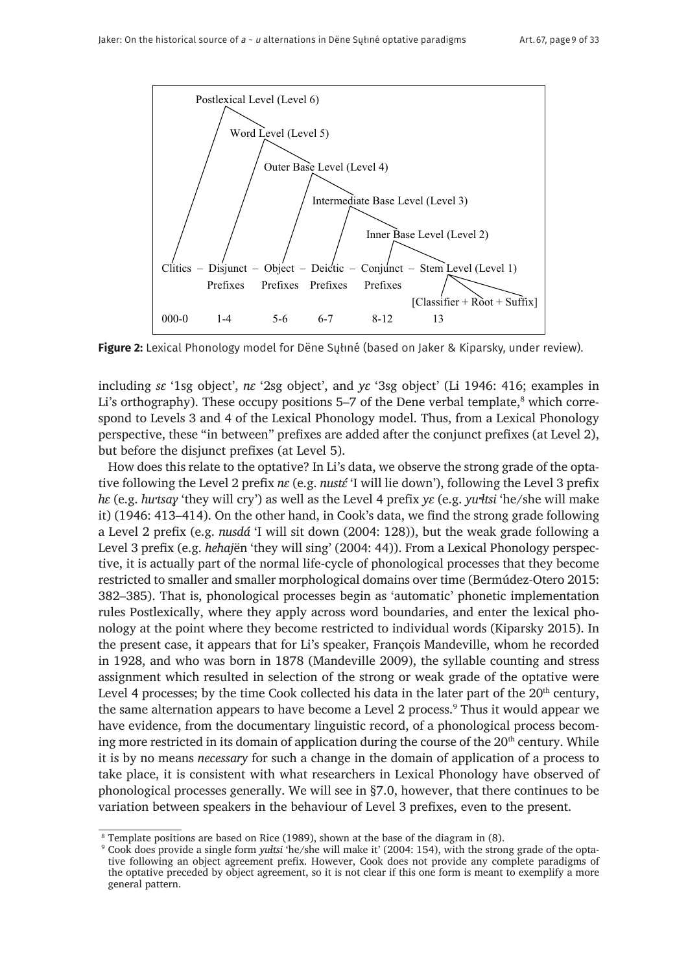

**Figure 2:** Lexical Phonology model for Dëne Sųłıné (based on Jaker & Kiparsky, under review).

including *sɛ* '1sg object', *nɛ* '2sg object', and *yɛ* '3sg object' (Li 1946: 416; examples in Li's orthography). These occupy positions 5–7 of the Dene verbal template,<sup>8</sup> which correspond to Levels 3 and 4 of the Lexical Phonology model. Thus, from a Lexical Phonology perspective, these "in between" prefixes are added after the conjunct prefixes (at Level 2), but before the disjunct prefixes (at Level 5).

How does this relate to the optative? In Li's data, we observe the strong grade of the optative following the Level 2 prefix *nε* (e.g. *nusté* 'I will lie down'), following the Level 3 prefix *hɛ* (e.g. *huˑtsaɣ* 'they will cry') as well as the Level 4 prefix *yɛ* (e.g. *yuˑɬtsi* 'he/she will make it) (1946: 413–414). On the other hand, in Cook's data, we find the strong grade following a Level 2 prefix (e.g. *nusdá* 'I will sit down (2004: 128)), but the weak grade following a Level 3 prefix (e.g. *hehaj*ën 'they will sing' (2004: 44)). From a Lexical Phonology perspective, it is actually part of the normal life-cycle of phonological processes that they become restricted to smaller and smaller morphological domains over time (Bermúdez-Otero 2015: 382–385). That is, phonological processes begin as 'automatic' phonetic implementation rules Postlexically, where they apply across word boundaries, and enter the lexical phonology at the point where they become restricted to individual words (Kiparsky 2015). In the present case, it appears that for Li's speaker, François Mandeville, whom he recorded in 1928, and who was born in 1878 (Mandeville 2009), the syllable counting and stress assignment which resulted in selection of the strong or weak grade of the optative were Level 4 processes; by the time Cook collected his data in the later part of the  $20<sup>th</sup>$  century, the same alternation appears to have become a Level 2 process.<sup>9</sup> Thus it would appear we have evidence, from the documentary linguistic record, of a phonological process becoming more restricted in its domain of application during the course of the  $20<sup>th</sup>$  century. While it is by no means *necessary* for such a change in the domain of application of a process to take place, it is consistent with what researchers in Lexical Phonology have observed of phonological processes generally. We will see in §7.0, however, that there continues to be variation between speakers in the behaviour of Level 3 prefixes, even to the present.

<sup>8</sup> Template positions are based on Rice (1989), shown at the base of the diagram in (8).

<sup>9</sup> Cook does provide a single form *yułtsi* 'he/she will make it' (2004: 154), with the strong grade of the optative following an object agreement prefix. However, Cook does not provide any complete paradigms of the optative preceded by object agreement, so it is not clear if this one form is meant to exemplify a more general pattern.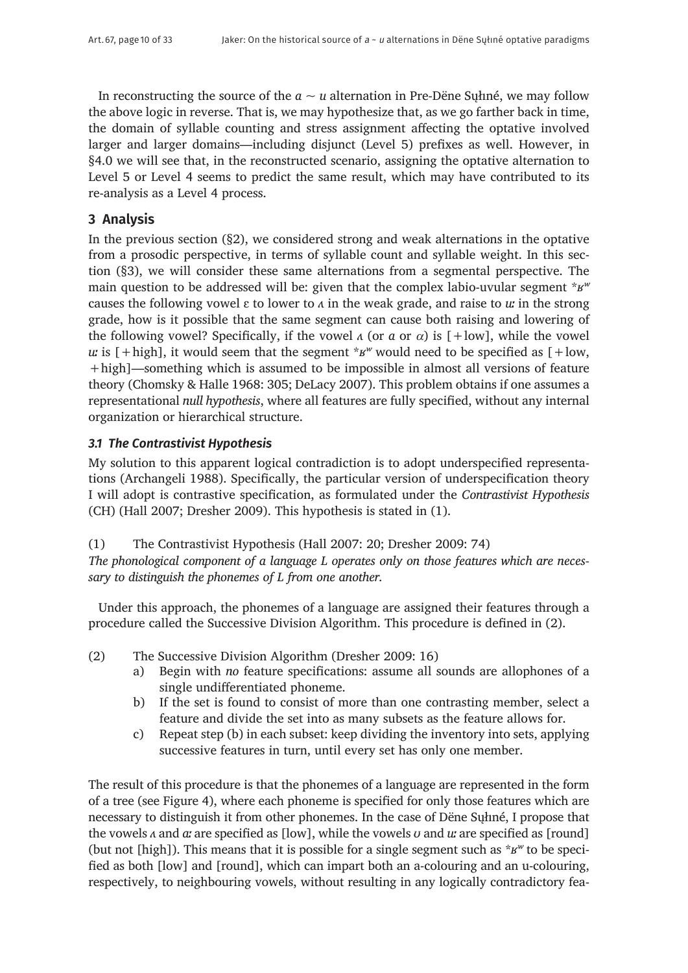In reconstructing the source of the  $a \sim u$  alternation in Pre-Dëne Syliné, we may follow the above logic in reverse. That is, we may hypothesize that, as we go farther back in time, the domain of syllable counting and stress assignment affecting the optative involved larger and larger domains—including disjunct (Level 5) prefixes as well. However, in §4.0 we will see that, in the reconstructed scenario, assigning the optative alternation to Level 5 or Level 4 seems to predict the same result, which may have contributed to its re-analysis as a Level 4 process.

# **3 Analysis**

In the previous section (§2), we considered strong and weak alternations in the optative from a prosodic perspective, in terms of syllable count and syllable weight. In this section (§3), we will consider these same alternations from a segmental perspective. The main question to be addressed will be: given that the complex labio-uvular segment \**ʁʷ*  causes the following vowel ɛ to lower to *ʌ* in the weak grade, and raise to *uː* in the strong grade, how is it possible that the same segment can cause both raising and lowering of the following vowel? Specifically, if the vowel  $\alpha$  (or  $\alpha$  or  $\alpha$ ) is  $[+]$  the vowel *u*: is  $[+high]$ , it would seem that the segment  $*_{\mathcal{B}} w$  would need to be specified as  $[+low,$ +high]—something which is assumed to be impossible in almost all versions of feature theory (Chomsky & Halle 1968: 305; DeLacy 2007). This problem obtains if one assumes a representational *null hypothesis*, where all features are fully specified, without any internal organization or hierarchical structure.

# *3.1 The Contrastivist Hypothesis*

My solution to this apparent logical contradiction is to adopt underspecified representations (Archangeli 1988). Specifically, the particular version of underspecification theory I will adopt is contrastive specification, as formulated under the *Contrastivist Hypothesis* (CH) (Hall 2007; Dresher 2009). This hypothesis is stated in (1).

(1) The Contrastivist Hypothesis (Hall 2007: 20; Dresher 2009: 74) *The phonological component of a language L operates only on those features which are necessary to distinguish the phonemes of L from one another.*

Under this approach, the phonemes of a language are assigned their features through a procedure called the Successive Division Algorithm. This procedure is defined in (2).

- (2) The Successive Division Algorithm (Dresher 2009: 16)
	- a) Begin with *no* feature specifications: assume all sounds are allophones of a single undifferentiated phoneme.
	- b) If the set is found to consist of more than one contrasting member, select a feature and divide the set into as many subsets as the feature allows for.
	- c) Repeat step (b) in each subset: keep dividing the inventory into sets, applying successive features in turn, until every set has only one member.

The result of this procedure is that the phonemes of a language are represented in the form of a tree (see Figure 4), where each phoneme is specified for only those features which are necessary to distinguish it from other phonemes. In the case of Dëne Sųłıné, I propose that the vowels *ʌ* and *aː* are specified as [low], while the vowels *ʊ* and *uː* are specified as [round] (but not [high]). This means that it is possible for a single segment such as \**ʁʷ* to be specified as both [low] and [round], which can impart both an a-colouring and an u-colouring, respectively, to neighbouring vowels, without resulting in any logically contradictory fea-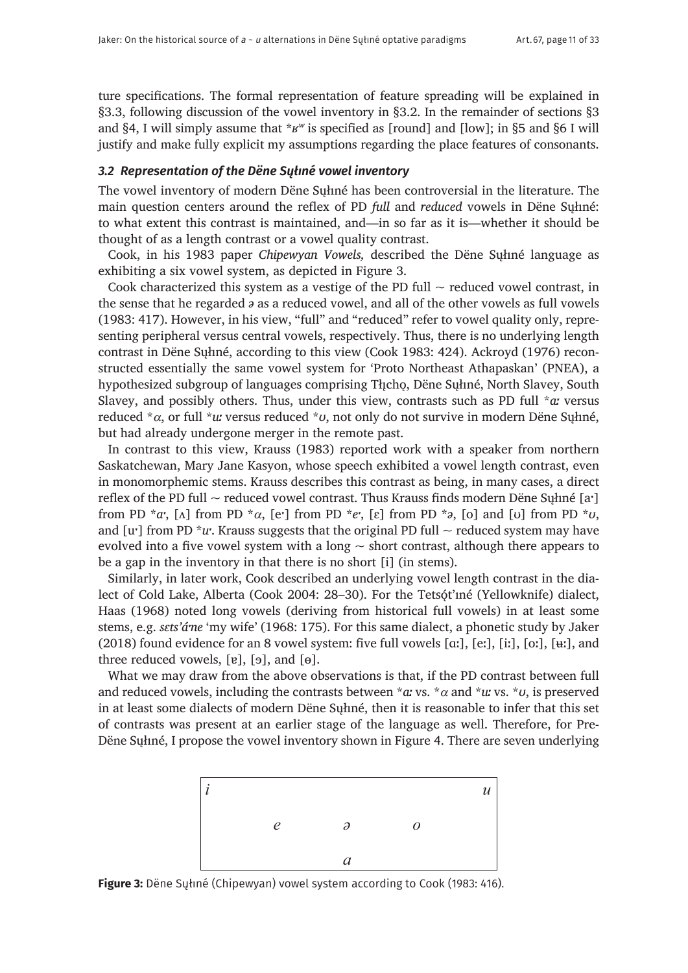ture specifications. The formal representation of feature spreading will be explained in §3.3, following discussion of the vowel inventory in §3.2. In the remainder of sections §3 and §4, I will simply assume that \**ʁʷ* is specified as [round] and [low]; in §5 and §6 I will justify and make fully explicit my assumptions regarding the place features of consonants.

# *3.2 Representation of the Dëne Sųłıné vowel inventory*

The vowel inventory of modern Dëne Sųłıné has been controversial in the literature. The main question centers around the reflex of PD *full* and *reduced* vowels in Dëne Sųłıné: to what extent this contrast is maintained, and—in so far as it is—whether it should be thought of as a length contrast or a vowel quality contrast.

Cook, in his 1983 paper *Chipewyan Vowels,* described the Dëne Sųłıné language as exhibiting a six vowel system, as depicted in Figure 3.

Cook characterized this system as a vestige of the PD full  $\sim$  reduced vowel contrast, in the sense that he regarded *ə* as a reduced vowel, and all of the other vowels as full vowels (1983: 417). However, in his view, "full" and "reduced" refer to vowel quality only, representing peripheral versus central vowels, respectively. Thus, there is no underlying length contrast in Dëne Sųłıné, according to this view (Cook 1983: 424). Ackroyd (1976) reconstructed essentially the same vowel system for 'Proto Northeast Athapaskan' (PNEA), a hypothesized subgroup of languages comprising Thcho, Dëne Suhné, North Slavey, South Slavey, and possibly others. Thus, under this view, contrasts such as PD full \**aː* versus reduced \*α, or full \**uː* versus reduced \**ʊ*, not only do not survive in modern Dëne Sųłıné, but had already undergone merger in the remote past.

In contrast to this view, Krauss (1983) reported work with a speaker from northern Saskatchewan, Mary Jane Kasyon, whose speech exhibited a vowel length contrast, even in monomorphemic stems. Krauss describes this contrast as being, in many cases, a direct reflex of the PD full  $\sim$  reduced vowel contrast. Thus Krauss finds modern Dëne Suhné [a<sup></sup>] from PD  $^*a$ <sup>r</sup>, [ $\Lambda$ ] from PD  $^*a$ , [e<sup> $\cdot$ </sup>] from PD  $^*e$ <sup>r</sup>, [ $\varepsilon$ ] from PD  $^*o$ , [ $o$ ] and [ $\sigma$ ] from PD  $^*v$ , and [u<sup> $\cdot$ </sup>] from PD \**u*<sup> $\cdot$ </sup>. Krauss suggests that the original PD full  $\sim$  reduced system may have evolved into a five vowel system with a long  $\sim$  short contrast, although there appears to be a gap in the inventory in that there is no short [i] (in stems).

Similarly, in later work, Cook described an underlying vowel length contrast in the dialect of Cold Lake, Alberta (Cook 2004: 28–30). For the Tetsót'ıné (Yellowknife) dialect, Haas (1968) noted long vowels (deriving from historical full vowels) in at least some stems, e.g. *sɛts'áˑne* 'my wife' (1968: 175). For this same dialect, a phonetic study by Jaker (2018) found evidence for an 8 vowel system: five full vowels [ɑː], [eː], [iː], [oː], [ʉː], and three reduced vowels,  $[v]$ ,  $[s]$ , and  $[e]$ .

What we may draw from the above observations is that, if the PD contrast between full and reduced vowels, including the contrasts between  $*a$  vs.  $*\alpha$  and  $*u$  vs.  $*\nu$ , is preserved in at least some dialects of modern Dëne Sųłıné, then it is reasonable to infer that this set of contrasts was present at an earlier stage of the language as well. Therefore, for Pre-Dëne Sųłıné, I propose the vowel inventory shown in Figure 4. There are seven underlying



**Figure 3:** Dëne Sųłıné (Chipewyan) vowel system according to Cook (1983: 416).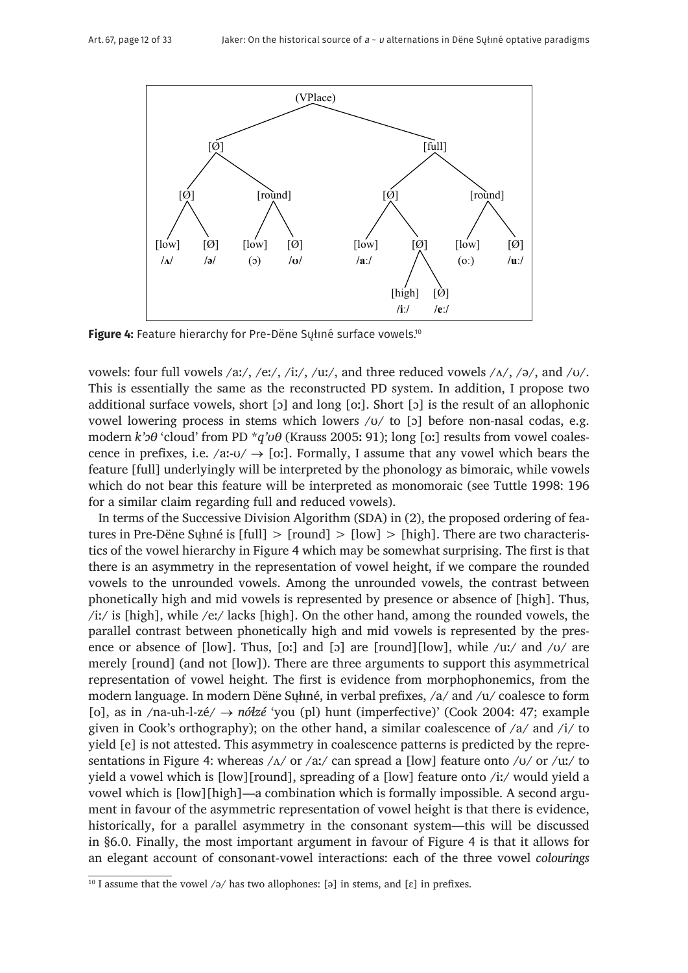

Figure 4: Feature hierarchy for Pre-Dëne Suliné surface vowels.<sup>10</sup>

vowels: four full vowels /aː/, /eː/, /iː/, /uː/, and three reduced vowels / $\Lambda$ /, /ə/, and / $\sigma$ /. This is essentially the same as the reconstructed PD system. In addition, I propose two additional surface vowels, short [ɔ] and long [oː]. Short [ɔ] is the result of an allophonic vowel lowering process in stems which lowers /ʊ/ to [ɔ] before non-nasal codas, e.g. modern *k'oθ* 'cloud' from PD \**q'uθ* (Krauss 2005: 91); long [oː] results from vowel coalescence in prefixes, i.e.  $\alpha$ *:* $\alpha$   $\rightarrow$  [oː]. Formally, I assume that any vowel which bears the feature [full] underlyingly will be interpreted by the phonology as bimoraic, while vowels which do not bear this feature will be interpreted as monomoraic (see Tuttle 1998: 196 for a similar claim regarding full and reduced vowels).

In terms of the Successive Division Algorithm (SDA) in (2), the proposed ordering of features in Pre-Dëne Sųłıné is [full] > [round] > [low] > [high]. There are two characteristics of the vowel hierarchy in Figure 4 which may be somewhat surprising. The first is that there is an asymmetry in the representation of vowel height, if we compare the rounded vowels to the unrounded vowels. Among the unrounded vowels, the contrast between phonetically high and mid vowels is represented by presence or absence of [high]. Thus, /iː/ is [high], while /eː/ lacks [high]. On the other hand, among the rounded vowels, the parallel contrast between phonetically high and mid vowels is represented by the presence or absence of  $[low]$ . Thus,  $[oi]$  and  $[oj]$  are  $[round][low]$ , while  $/ui/$  and  $/vi/$  are merely [round] (and not [low]). There are three arguments to support this asymmetrical representation of vowel height. The first is evidence from morphophonemics, from the modern language. In modern Dëne Sųłıné, in verbal prefixes, /a/ and /u/ coalesce to form [o], as in /na-uh-l-zé/ → *nóɬzé* 'you (pl) hunt (imperfective)' (Cook 2004: 47; example given in Cook's orthography); on the other hand, a similar coalescence of /a/ and /i/ to yield [e] is not attested. This asymmetry in coalescence patterns is predicted by the representations in Figure 4: whereas  $/\alpha$  or  $/\alpha$ ; can spread a [low] feature onto  $/\alpha$  or  $/\alpha$ ; to yield a vowel which is [low][round], spreading of a [low] feature onto /iː/ would yield a vowel which is [low][high]—a combination which is formally impossible. A second argument in favour of the asymmetric representation of vowel height is that there is evidence, historically, for a parallel asymmetry in the consonant system—this will be discussed in §6.0. Finally, the most important argument in favour of Figure 4 is that it allows for an elegant account of consonant-vowel interactions: each of the three vowel *colourings*

<sup>&</sup>lt;sup>10</sup> I assume that the vowel /ə/ has two allophones: [ə] in stems, and [ $\varepsilon$ ] in prefixes.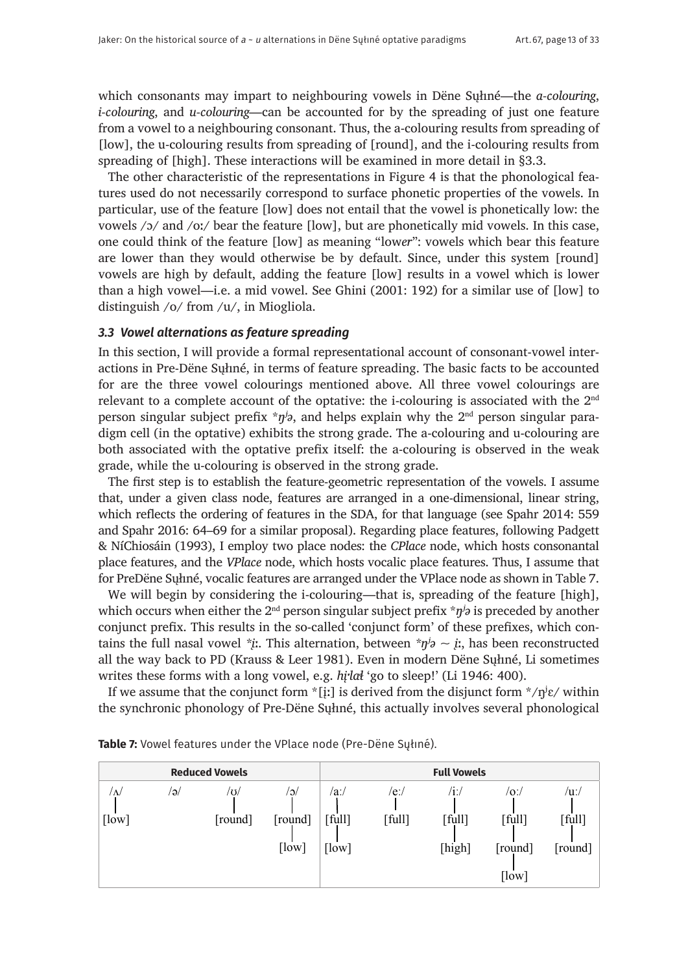which consonants may impart to neighbouring vowels in Dëne Sųłıné—the *a-colouring*, *i-colouring*, and *u-colouring*—can be accounted for by the spreading of just one feature from a vowel to a neighbouring consonant. Thus, the a-colouring results from spreading of [low], the u-colouring results from spreading of [round], and the i-colouring results from spreading of [high]. These interactions will be examined in more detail in §3.3.

The other characteristic of the representations in Figure 4 is that the phonological features used do not necessarily correspond to surface phonetic properties of the vowels. In particular, use of the feature [low] does not entail that the vowel is phonetically low: the vowels /ɔ/ and /oː/ bear the feature [low], but are phonetically mid vowels. In this case, one could think of the feature [low] as meaning "low*er*": vowels which bear this feature are lower than they would otherwise be by default. Since, under this system [round] vowels are high by default, adding the feature [low] results in a vowel which is lower than a high vowel—i.e. a mid vowel. See Ghini (2001: 192) for a similar use of [low] to distinguish /o/ from /u/, in Miogliola.

## *3.3 Vowel alternations as feature spreading*

In this section, I will provide a formal representational account of consonant-vowel interactions in Pre-Dëne Sųłıné, in terms of feature spreading. The basic facts to be accounted for are the three vowel colourings mentioned above. All three vowel colourings are relevant to a complete account of the optative: the i-colouring is associated with the  $2<sup>nd</sup>$ person singular subject prefix  $*\eta^j\partial$ , and helps explain why the 2<sup>nd</sup> person singular paradigm cell (in the optative) exhibits the strong grade. The a-colouring and u-colouring are both associated with the optative prefix itself: the a-colouring is observed in the weak grade, while the u-colouring is observed in the strong grade.

The first step is to establish the feature-geometric representation of the vowels. I assume that, under a given class node, features are arranged in a one-dimensional, linear string, which reflects the ordering of features in the SDA, for that language (see Spahr 2014: 559 and Spahr 2016: 64–69 for a similar proposal). Regarding place features, following Padgett & NíChiosáin (1993), I employ two place nodes: the *CPlace* node, which hosts consonantal place features, and the *VPlace* node, which hosts vocalic place features. Thus, I assume that for PreDëne Sųłıné, vocalic features are arranged under the VPlace node as shown in Table 7.

We will begin by considering the i-colouring—that is, spreading of the feature [high], which occurs when either the 2<sup>nd</sup> person singular subject prefix \**n<sup>j</sup>i* is preceded by another conjunct prefix. This results in the so-called 'conjunct form' of these prefixes, which contains the full nasal vowel *\*j*:. This alternation, between *\*n<sup>j</sup>* $\sim$  *j*:, has been reconstructed all the way back to PD (Krauss & Leer 1981). Even in modern Dëne Sųłıné, Li sometimes writes these forms with a long vowel, e.g. *hi* $\frac{Id}{d}$  'go to sleep!' (Li 1946: 400).

If we assume that the conjunct form  $\check{z}$ [iː] is derived from the disjunct form  $\check{z}/\eta\mathrm{i}\varepsilon/\mathrm{within}$ the synchronic phonology of Pre-Dëne Sųłıné, this actually involves several phonological

|                          |     | <b>Reduced Vowels</b> |                         |                         |                | <b>Full Vowels</b>             |                                           |                              |
|--------------------------|-----|-----------------------|-------------------------|-------------------------|----------------|--------------------------------|-------------------------------------------|------------------------------|
| $\sqrt{\Delta}$<br>[low] | /ə/ | /ʊ/<br>[round]        | /ാ/<br>[round]<br>[low] | /aː/<br>[full]<br>[low] | /eː/<br>[full] | /iː/<br>$[$ full $]$<br>[high] | $ 0\rangle$<br>[full]<br>[round]<br>[low] | $/u$ :/<br>[full]<br>[round] |

| <b>Table 7:</b> Vowel features under the VPlace node (Pre-Dëne Sųłıné). |  |  |
|-------------------------------------------------------------------------|--|--|
|-------------------------------------------------------------------------|--|--|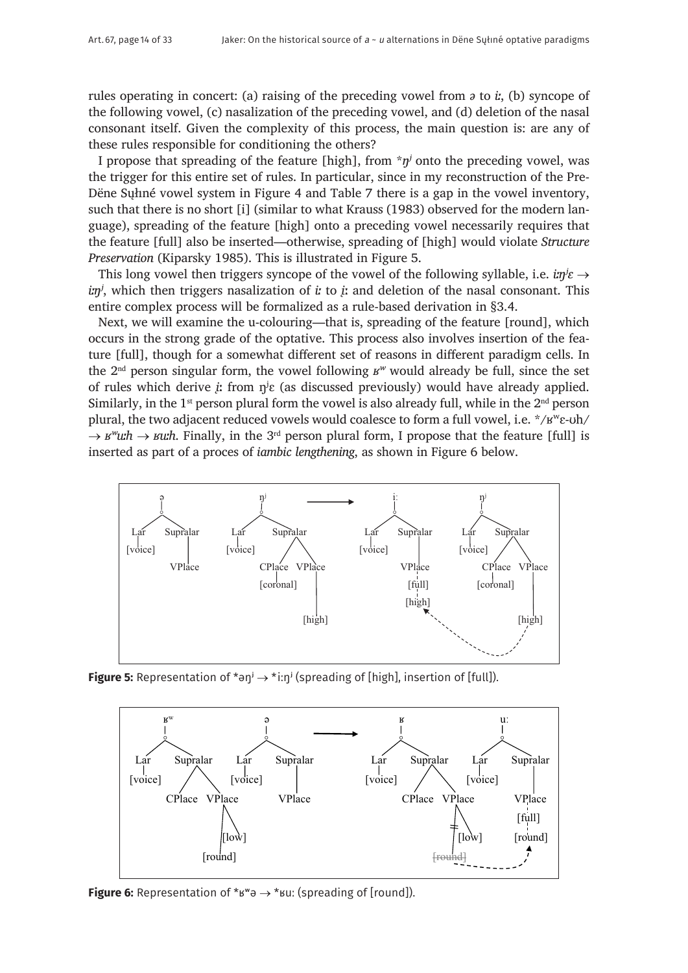rules operating in concert: (a) raising of the preceding vowel from *ə* to *iː*, (b) syncope of the following vowel, (c) nasalization of the preceding vowel, and (d) deletion of the nasal consonant itself. Given the complexity of this process, the main question is: are any of these rules responsible for conditioning the others?

I propose that spreading of the feature [high], from  $*\eta^j$  onto the preceding vowel, was the trigger for this entire set of rules. In particular, since in my reconstruction of the Pre-Dëne Sųłıné vowel system in Figure 4 and Table 7 there is a gap in the vowel inventory, such that there is no short [i] (similar to what Krauss (1983) observed for the modern language), spreading of the feature [high] onto a preceding vowel necessarily requires that the feature [full] also be inserted—otherwise, spreading of [high] would violate *Structure Preservation* (Kiparsky 1985). This is illustrated in Figure 5.

This long vowel then triggers syncope of the vowel of the following syllable, i.e.  $i\eta/\epsilon \rightarrow$ *in<sup>j</sup>*, which then triggers nasalization of *i*: to *j*: and deletion of the nasal consonant. This entire complex process will be formalized as a rule-based derivation in §3.4.

Next, we will examine the u-colouring—that is, spreading of the feature [round], which occurs in the strong grade of the optative. This process also involves insertion of the feature [full], though for a somewhat different set of reasons in different paradigm cells. In the 2nd person singular form, the vowel following *ʁʷ* would already be full, since the set of rules which derive  $\dot{\mu}$  from  $\eta^j \varepsilon$  (as discussed previously) would have already applied. Similarly, in the 1<sup>st</sup> person plural form the vowel is also already full, while in the  $2<sup>nd</sup>$  person plural, the two adjacent reduced vowels would coalesce to form a full vowel, i.e. \*/ʁʷɛ-ʊh/  $\rightarrow$  *ʁ<sup>w</sup>uːh*  $\rightarrow$  *ʁuːh*. Finally, in the 3<sup>rd</sup> person plural form, I propose that the feature [full] is inserted as part of a proces of *iambic lengthening*, as shown in Figure 6 below.



**Figure 5:** Representation of  $*$ <sup>on</sup> $\rightarrow$   $*$  i:n<sup> $j$ </sup> (spreading of [high], insertion of [full]).



**Figure 6:** Representation of  $*_{\mathcal{B}} \rightarrow *_{\mathcal{B}} U$ : (spreading of [round]).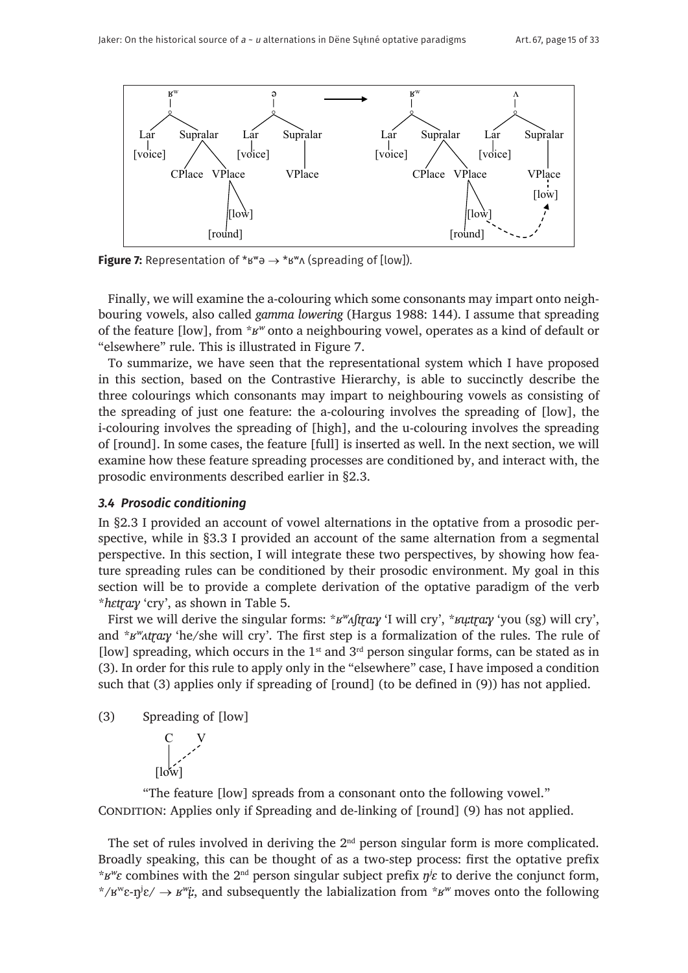

**Figure 7:** Representation of  $*_{B}w \rightarrow *_{B}w \wedge$  (spreading of [low]).

Finally, we will examine the a-colouring which some consonants may impart onto neighbouring vowels, also called *gamma lowering* (Hargus 1988: 144). I assume that spreading of the feature [low], from \**ʁʷ* onto a neighbouring vowel, operates as a kind of default or "elsewhere" rule. This is illustrated in Figure 7.

To summarize, we have seen that the representational system which I have proposed in this section, based on the Contrastive Hierarchy, is able to succinctly describe the three colourings which consonants may impart to neighbouring vowels as consisting of the spreading of just one feature: the a-colouring involves the spreading of [low], the i-colouring involves the spreading of [high], and the u-colouring involves the spreading of [round]. In some cases, the feature [full] is inserted as well. In the next section, we will examine how these feature spreading processes are conditioned by, and interact with, the prosodic environments described earlier in §2.3.

#### *3.4 Prosodic conditioning*

In §2.3 I provided an account of vowel alternations in the optative from a prosodic perspective, while in §3.3 I provided an account of the same alternation from a segmental perspective. In this section, I will integrate these two perspectives, by showing how feature spreading rules can be conditioned by their prosodic environment. My goal in this section will be to provide a complete derivation of the optative paradigm of the verb \**hɛtɽaːɣ* 'cry', as shown in Table 5.

First we will derive the singular forms:  $*_{B}$ <sup>*w*</sup> $_{A}$ [trax 'I will cry',  $*_{B}$ *utrax* 'you (sg) will cry', and \**B<sup>w</sup>Atray* 'he/she will cry'. The first step is a formalization of the rules. The rule of [low] spreading, which occurs in the  $1<sup>st</sup>$  and  $3<sup>rd</sup>$  person singular forms, can be stated as in (3). In order for this rule to apply only in the "elsewhere" case, I have imposed a condition such that (3) applies only if spreading of [round] (to be defined in (9)) has not applied.





"The feature [low] spreads from a consonant onto the following vowel." CONDITION: Applies only if Spreading and de-linking of [round] (9) has not applied.

The set of rules involved in deriving the 2<sup>nd</sup> person singular form is more complicated. Broadly speaking, this can be thought of as a two-step process: first the optative prefix \* $B^w \varepsilon$  combines with the 2<sup>nd</sup> person singular subject prefix  $\eta^j \varepsilon$  to derive the conjunct form, \*/ $B^w \varepsilon \cdot \eta^j \varepsilon$ /  $\rightarrow B^w \varepsilon$ *;*, and subsequently the labialization from \* $B^w$  moves onto the following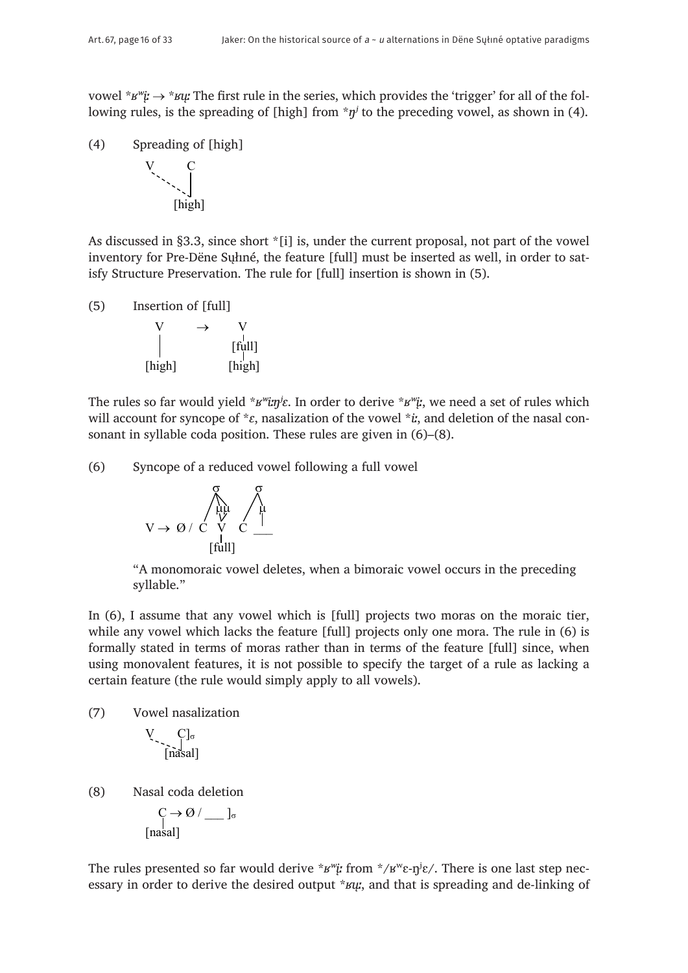vowel \**ʁʷįː* → \**ʁųː* The first rule in the series, which provides the 'trigger' for all of the following rules, is the spreading of [high] from  $\pi \eta^j$  to the preceding vowel, as shown in (4).

(4) Spreading of [high]



As discussed in §3.3, since short \*[i] is, under the current proposal, not part of the vowel inventory for Pre-Dëne Sųłıné, the feature [full] must be inserted as well, in order to satisfy Structure Preservation. The rule for [full] insertion is shown in (5).

(5) Insertion of [full]  
\n
$$
V \rightarrow V
$$
\n
$$
[full]
$$
\n
$$
[high]
$$
\n
$$
[high]
$$

The rules so far would yield \**ʁʷiːŋʲɛ*. In order to derive \**ʁʷįː*, we need a set of rules which will account for syncope of \**ɛ*, nasalization of the vowel \**iː*, and deletion of the nasal consonant in syllable coda position. These rules are given in (6)–(8).

(6) Syncope of a reduced vowel following a full vowel

$$
V \rightarrow \varnothing / \stackrel{\underset{[t u]]}{\bigwedge}_{[t u]]} \quad \underset{[t u]]}{\overset{\mathcal{G}}{\underset{\bigcup}{\bigwedge}} \quad \underset{[t u]]}{\overset{\mathcal{G}}{\underset{\bigcup}{\bigwedge}}} \quad
$$

"A monomoraic vowel deletes, when a bimoraic vowel occurs in the preceding syllable."

In (6), I assume that any vowel which is [full] projects two moras on the moraic tier, while any vowel which lacks the feature [full] projects only one mora. The rule in (6) is formally stated in terms of moras rather than in terms of the feature [full] since, when using monovalent features, it is not possible to specify the target of a rule as lacking a certain feature (the rule would simply apply to all vowels).

(7) Vowel nasalization

$$
V \cdot \int_{[nasal]}
$$

(8) Nasal coda deletion

$$
\bigcap_{[\text{nasal}]}^{C \to \emptyset / \_J_{\sigma}}
$$

The rules presented so far would derive  $*$ *s<sup>w</sup>i*: from  $*/$ <sub>*B*<sup>*w*</sup> $\epsilon$ -n<sup>*j*</sup> $\epsilon$ /. There is one last step nec-</sub> essary in order to derive the desired output \**ʁųː*, and that is spreading and de-linking of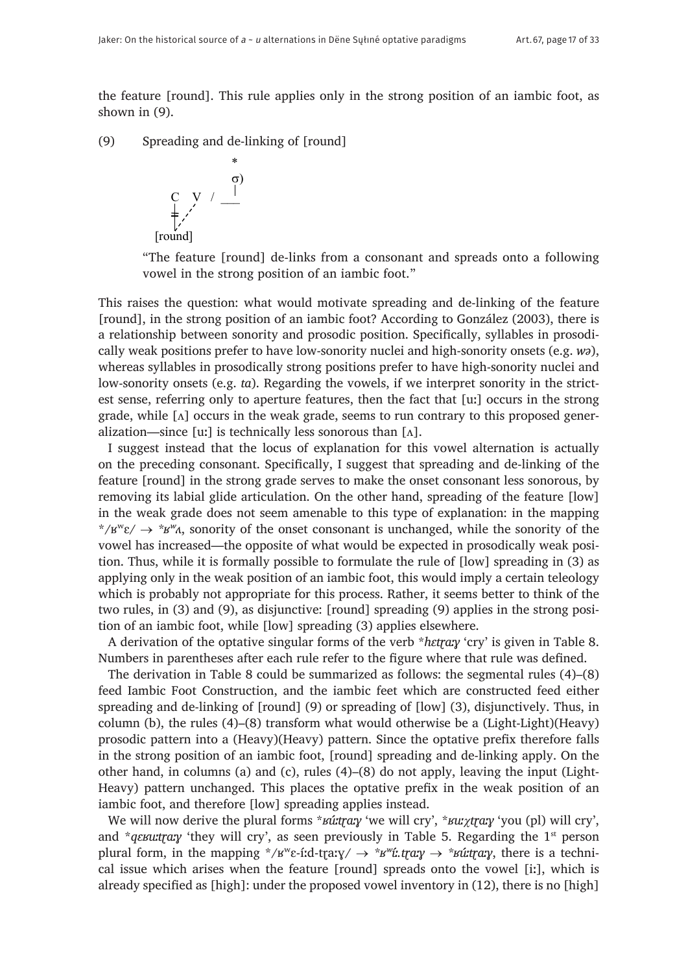the feature [round]. This rule applies only in the strong position of an iambic foot, as shown in (9).

(9) Spreading and de-linking of [round]



"The feature [round] de-links from a consonant and spreads onto a following vowel in the strong position of an iambic foot."

This raises the question: what would motivate spreading and de-linking of the feature [round], in the strong position of an iambic foot? According to González (2003), there is a relationship between sonority and prosodic position. Specifically, syllables in prosodically weak positions prefer to have low-sonority nuclei and high-sonority onsets (e.g. *wə*), whereas syllables in prosodically strong positions prefer to have high-sonority nuclei and low-sonority onsets (e.g. *ta*). Regarding the vowels, if we interpret sonority in the strictest sense, referring only to aperture features, then the fact that [uː] occurs in the strong grade, while  $[\Lambda]$  occurs in the weak grade, seems to run contrary to this proposed generalization—since [uː] is technically less sonorous than  $[A]$ .

I suggest instead that the locus of explanation for this vowel alternation is actually on the preceding consonant. Specifically, I suggest that spreading and de-linking of the feature [round] in the strong grade serves to make the onset consonant less sonorous, by removing its labial glide articulation. On the other hand, spreading of the feature [low] in the weak grade does not seem amenable to this type of explanation: in the mapping  $*$ /ʁ<sup>w</sup>ɛ/  $\rightarrow$   $*$ ʁ<sup>w</sup> $\alpha$ , sonority of the onset consonant is unchanged, while the sonority of the vowel has increased—the opposite of what would be expected in prosodically weak position. Thus, while it is formally possible to formulate the rule of [low] spreading in (3) as applying only in the weak position of an iambic foot, this would imply a certain teleology which is probably not appropriate for this process. Rather, it seems better to think of the two rules, in (3) and (9), as disjunctive: [round] spreading (9) applies in the strong position of an iambic foot, while [low] spreading (3) applies elsewhere.

A derivation of the optative singular forms of the verb \**hɛtɽaːɣ* 'cry' is given in Table 8. Numbers in parentheses after each rule refer to the figure where that rule was defined.

The derivation in Table 8 could be summarized as follows: the segmental rules (4)–(8) feed Iambic Foot Construction, and the iambic feet which are constructed feed either spreading and de-linking of [round] (9) or spreading of [low] (3), disjunctively. Thus, in column (b), the rules (4)–(8) transform what would otherwise be a (Light-Light)(Heavy) prosodic pattern into a (Heavy)(Heavy) pattern. Since the optative prefix therefore falls in the strong position of an iambic foot, [round] spreading and de-linking apply. On the other hand, in columns (a) and (c), rules (4)–(8) do not apply, leaving the input (Light-Heavy) pattern unchanged. This places the optative prefix in the weak position of an iambic foot, and therefore [low] spreading applies instead.

We will now derive the plural forms \**ʁúːtɽaːɣ* 'we will cry', \**ʁuː*χ*tɽaːɣ* 'you (pl) will cry', and *\*qɛʁuːtr̥aːy* 'they will cry', as seen previously in Table 5. Regarding the 1<sup>st</sup> person plural form, in the mapping  $*\prime$ s<sup>*w*</sup>e-íːd-traːy/  $\rightarrow *\prime w$ *ixtraːy*  $\rightarrow *\prime w$ *itraːy*, there is a technical issue which arises when the feature [round] spreads onto the vowel [iː], which is already specified as [high]: under the proposed vowel inventory in (12), there is no [high]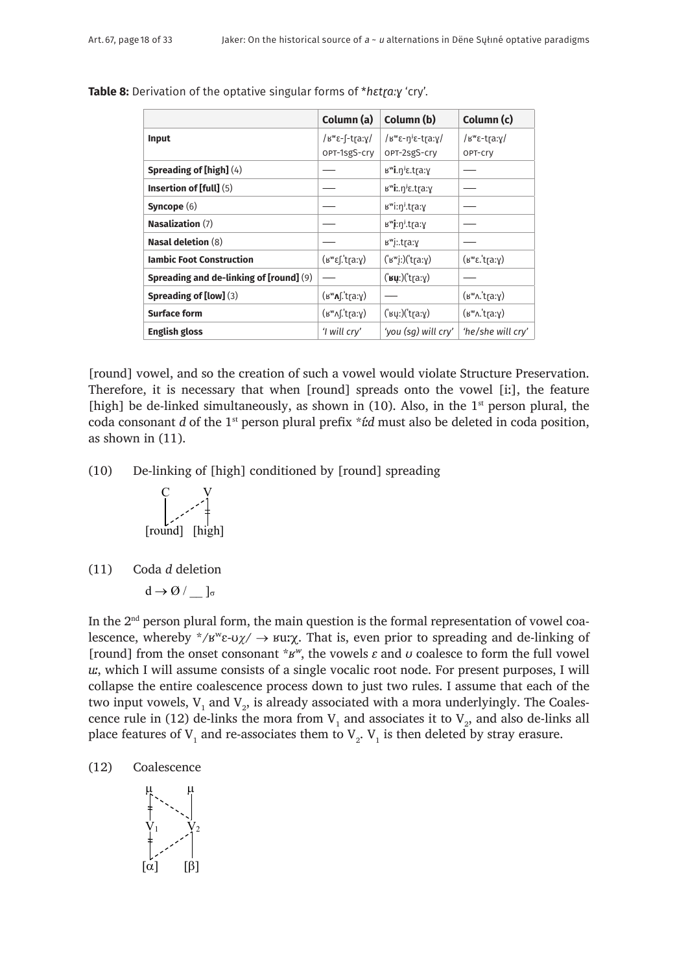|                                         | Column (a)                          | Column (b)                                                       | Column (c)                                                                                                                                  |
|-----------------------------------------|-------------------------------------|------------------------------------------------------------------|---------------------------------------------------------------------------------------------------------------------------------------------|
| <b>Input</b>                            | /ε <sup>ω</sup> ε-f-tra:γ/          | / $\mu^w \epsilon - \eta^j \epsilon - \text{tr}(\alpha, \gamma)$ | $\frac{1}{8}$ $\frac{1}{8}$ $\frac{1}{8}$ $\frac{1}{8}$ $\frac{1}{8}$ $\frac{1}{8}$ $\frac{1}{8}$ $\frac{1}{8}$ $\frac{1}{8}$ $\frac{1}{8}$ |
|                                         | OPT-1sgS-cry                        | OPT-2sgS-cry                                                     | OPT-Cry                                                                                                                                     |
| Spreading of [high] (4)                 |                                     | B <sup>w</sup> i.η <sup>j</sup> ε.tra:γ                          |                                                                                                                                             |
| <b>Insertion of [full]</b> $(5)$        |                                     | $B^{\omega}$ i:. $\eta^{j}$ $\epsilon$ .tra:y                    |                                                                                                                                             |
| Syncope $(6)$                           |                                     | в <sup>w</sup> i:n <sup>j</sup> .tra:у                           |                                                                                                                                             |
| Nasalization $(7)$                      |                                     | в <sup>w</sup> j:n <sup>j</sup> .tra:y                           |                                                                                                                                             |
| <b>Nasal deletion (8)</b>               |                                     | в <sup>w</sup> j:.tra:у                                          |                                                                                                                                             |
| <b>Iambic Foot Construction</b>         | $(\kappa^w \epsilon)$ : tra: y)     | ('w'y')('tray)                                                   | $(\mathbf{B}^{\mathbf{w}}\mathbf{E}.\mathsf{trax})$                                                                                         |
| Spreading and de-linking of [round] (9) |                                     | $('$ иџ $:)('t$ ra: $y)$                                         |                                                                                                                                             |
| Spreading of [low] (3)                  | $(s^{\omega}$ ns:tra:y)             |                                                                  | $(\mathbf{b}^{\mathbf{w}} \wedge \mathbf{b})$                                                                                               |
| <b>Surface form</b>                     | $(s^{\omega}$ <sub>N</sub> ['tra:y) | $('$ кџ:) $('$ trа: $\gamma)$                                    | $(\mathbf{b}^{\mathbf{w}} \wedge \mathbf{b})$                                                                                               |
| <b>English gloss</b>                    | 'I will cry'                        | 'you (sq) will cry'                                              | 'he/she will cry'                                                                                                                           |

**Table 8:** Derivation of the optative singular forms of \**hɛtɽaːɣ* 'cry'.

[round] vowel, and so the creation of such a vowel would violate Structure Preservation. Therefore, it is necessary that when [round] spreads onto the vowel [iː], the feature [high] be de-linked simultaneously, as shown in  $(10)$ . Also, in the 1<sup>st</sup> person plural, the coda consonant *d* of the 1st person plural prefix \**íːd* must also be deleted in coda position, as shown in (11).

(10) De-linking of [high] conditioned by [round] spreading

$$
\begin{array}{c}\nC & V \\
\downarrow \quad \quad \downarrow \quad \quad \downarrow \\
\text{[round]} & \text{[high]} \\
\end{array}
$$

(11) Coda *d* deletion

$$
d \to \varnothing / \underline{\quad} ]_{\sigma}
$$

In the  $2<sup>nd</sup>$  person plural form, the main question is the formal representation of vowel coalescence, whereby \*/ $B^{w} \varepsilon \cdot \nu \chi$ /  $\rightarrow$   $Bw \chi$ . That is, even prior to spreading and de-linking of [round] from the onset consonant  $*$ *s<sup>w</sup>*, the vowels  $\varepsilon$  and  $\sigma$  coalesce to form the full vowel *uː*, which I will assume consists of a single vocalic root node. For present purposes, I will collapse the entire coalescence process down to just two rules. I assume that each of the two input vowels,  $V_1$  and  $V_2$ , is already associated with a mora underlyingly. The Coalescence rule in (12) de-links the mora from  $V_1$  and associates it to  $V_2$ , and also de-links all place features of  $V_1$  and re-associates them to  $V_2$ .  $V_1$  is then deleted by stray erasure.

(12) Coalescence

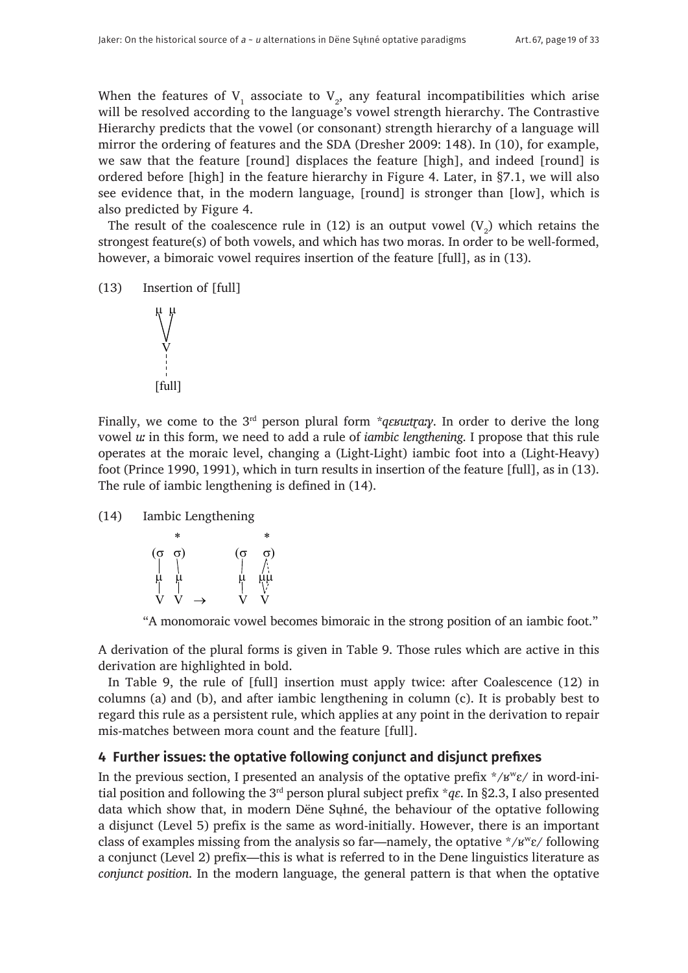When the features of  $V_1$  associate to  $V_2$ , any featural incompatibilities which arise will be resolved according to the language's vowel strength hierarchy. The Contrastive Hierarchy predicts that the vowel (or consonant) strength hierarchy of a language will mirror the ordering of features and the SDA (Dresher 2009: 148). In (10), for example, we saw that the feature [round] displaces the feature [high], and indeed [round] is ordered before [high] in the feature hierarchy in Figure 4. Later, in §7.1, we will also see evidence that, in the modern language, [round] is stronger than [low], which is also predicted by Figure 4.

The result of the coalescence rule in (12) is an output vowel  $(V_2)$  which retains the strongest feature(s) of both vowels, and which has two moras. In order to be well-formed, however, a bimoraic vowel requires insertion of the feature [full], as in (13).

```
(13) Insertion of [full]
```


Finally, we come to the 3<sup>rd</sup> person plural form *\*qɛʁuːtr̥aːy*. In order to derive the long vowel *uː* in this form, we need to add a rule of *iambic lengthening*. I propose that this rule operates at the moraic level, changing a (Light-Light) iambic foot into a (Light-Heavy) foot (Prince 1990, 1991), which in turn results in insertion of the feature [full], as in (13). The rule of iambic lengthening is defined in (14).

(14) Iambic Lengthening

|                | ж  |  |                  |    |
|----------------|----|--|------------------|----|
| $(\dot{\circ}$ | σ) |  | $(\dot{\alpha})$ | 5) |
| η.             |    |  |                  |    |

"A monomoraic vowel becomes bimoraic in the strong position of an iambic foot."

A derivation of the plural forms is given in Table 9. Those rules which are active in this derivation are highlighted in bold.

In Table 9, the rule of [full] insertion must apply twice: after Coalescence (12) in columns (a) and (b), and after iambic lengthening in column (c). It is probably best to regard this rule as a persistent rule, which applies at any point in the derivation to repair mis-matches between mora count and the feature [full].

## **4 Further issues: the optative following conjunct and disjunct prefixes**

In the previous section, I presented an analysis of the optative prefix  $\angle$ /k<sup>w</sup>ε/ in word-initial position and following the 3rd person plural subject prefix \**qɛ*. In §2.3, I also presented data which show that, in modern Dëne Sųłıné, the behaviour of the optative following a disjunct (Level 5) prefix is the same as word-initially. However, there is an important class of examples missing from the analysis so far—namely, the optative  $\angle$ /k<sup>w</sup>ε/ following a conjunct (Level 2) prefix—this is what is referred to in the Dene linguistics literature as *conjunct position*. In the modern language, the general pattern is that when the optative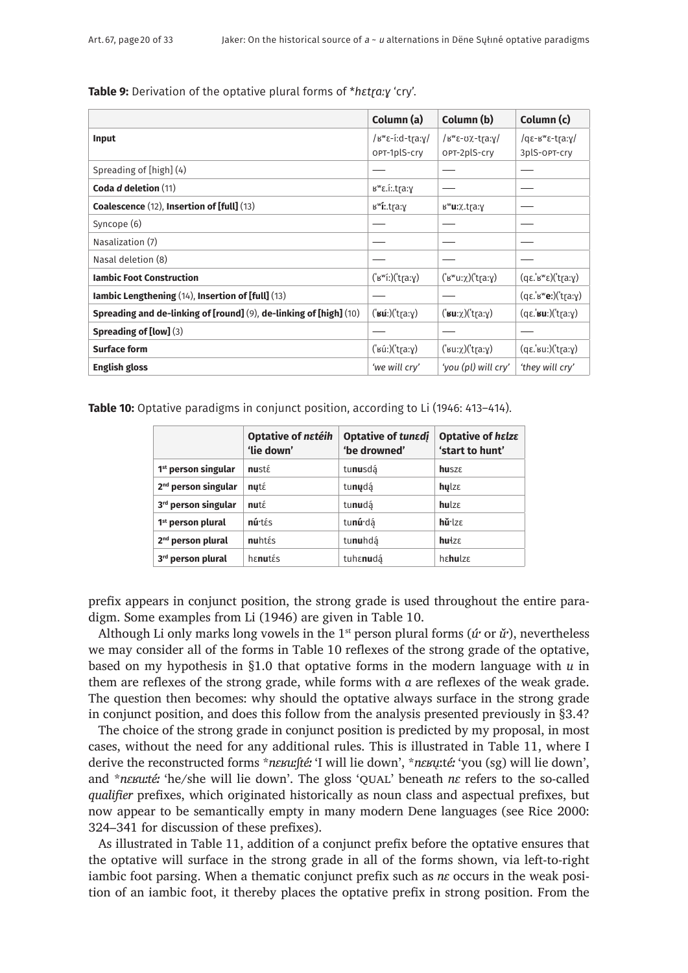**Table 9:** Derivation of the optative plural forms of \**hɛtɽaːɣ* 'cry'.

|                                                                    | Column (a)                                     | Column (b)                                  | Column (c)                                         |
|--------------------------------------------------------------------|------------------------------------------------|---------------------------------------------|----------------------------------------------------|
| Input                                                              | / $\mu^w \epsilon$ -í:d-tra:y/<br>OPT-1plS-cry | /ε <sup>ω</sup> ε-σχ-tra:γ/<br>OPT-2plS-cry | $\sqrt{q\epsilon-\kappa}$ e-tra:y/<br>3plS-OPT-cry |
| Spreading of [high] (4)                                            |                                                |                                             |                                                    |
| Coda d deletion (11)                                               | <sup>w</sup> ε.itra:γ                          |                                             |                                                    |
| Coalescence (12), Insertion of [full] (13)                         | в <sup>w</sup> <b>i</b> :.trа:у                | в <b>"u</b> :χ.tra:γ                        |                                                    |
| Syncope (6)                                                        |                                                |                                             |                                                    |
| Nasalization (7)                                                   |                                                |                                             |                                                    |
| Nasal deletion (8)                                                 |                                                |                                             |                                                    |
| <b>Iambic Foot Construction</b>                                    | ('w''i:) ('t[a:y)                              | $('w''u:\chi)('tra:\chi)$                   | (qε.' <sup>β</sup> "ε)('tra:γ)                     |
| lambic Lengthening $(14)$ , Insertion of [full] $(13)$             |                                                |                                             | $(q\varepsilon$ .'ь" $e$ :)('tra:y)                |
| Spreading and de-linking of [round] (9), de-linking of [high] (10) | (' <b>ʁú</b> ː)('tr̥aːɣ)                       | $('wu:\chi)'$ tra: $\chi$ )                 | $(q\varepsilon$ .' $\mathbf{su}$ :)('tra:y)        |
| <b>Spreading of [low]</b> $(3)$                                    |                                                |                                             |                                                    |
| <b>Surface form</b>                                                | ('v(i))('tra:y)                                | $('su:\chi)'$ tra:ɣ)                        | (qε.' su:)('t [a: γ)                               |
| <b>English gloss</b>                                               | 'we will cry'                                  | 'you (pl) will cry'                         | 'they will cry'                                    |

**Table 10:** Optative paradigms in conjunct position, according to Li (1946: 413–414).

|                                 | <b>Optative of netéih</b><br>'lie down' | Optative of tunedj<br>'be drowned' | <b>Optative of halza</b><br>'start to hunt' |
|---------------------------------|-----------------------------------------|------------------------------------|---------------------------------------------|
| 1 <sup>st</sup> person singular | nusté                                   | tunusdá                            | <b>husze</b>                                |
| $2nd$ person singular           | nutέ                                    | tunudá                             | $h$ ulz $\varepsilon$                       |
| 3rd person singular             | nut <sub>ε</sub>                        | tunudá                             | hulze                                       |
| 1 <sup>st</sup> person plural   | núrtés                                  | tu <b>nú</b> dá                    | hǔ <sup>·</sup> lzε                         |
| 2 <sup>nd</sup> person plural   | nuhtés                                  | tu <b>nu</b> hdą́                  | $h$ ułz $\varepsilon$                       |
| 3rd person plural               | henutés                                 | tuhε <b>nu</b> dá                  | habulza                                     |

prefix appears in conjunct position, the strong grade is used throughout the entire paradigm. Some examples from Li (1946) are given in Table 10.

Although Li only marks long vowels in the 1st person plural forms (*úˑ* or *ǔˑ*), nevertheless we may consider all of the forms in Table 10 reflexes of the strong grade of the optative, based on my hypothesis in §1.0 that optative forms in the modern language with *u* in them are reflexes of the strong grade, while forms with *a* are reflexes of the weak grade. The question then becomes: why should the optative always surface in the strong grade in conjunct position, and does this follow from the analysis presented previously in §3.4?

The choice of the strong grade in conjunct position is predicted by my proposal, in most cases, without the need for any additional rules. This is illustrated in Table 11, where I derive the reconstructed forms \**nɛʁuːʃtéː* 'I will lie down', \**nɛʁu*̨ːt*éː* 'you (sg) will lie down', and \**nɛʁuːtéː* 'he/she will lie down'. The gloss 'QUAL' beneath *nɛ* refers to the so-called *qualifier* prefixes, which originated historically as noun class and aspectual prefixes, but now appear to be semantically empty in many modern Dene languages (see Rice 2000: 324–341 for discussion of these prefixes).

As illustrated in Table 11, addition of a conjunct prefix before the optative ensures that the optative will surface in the strong grade in all of the forms shown, via left-to-right iambic foot parsing. When a thematic conjunct prefix such as *nɛ* occurs in the weak position of an iambic foot, it thereby places the optative prefix in strong position. From the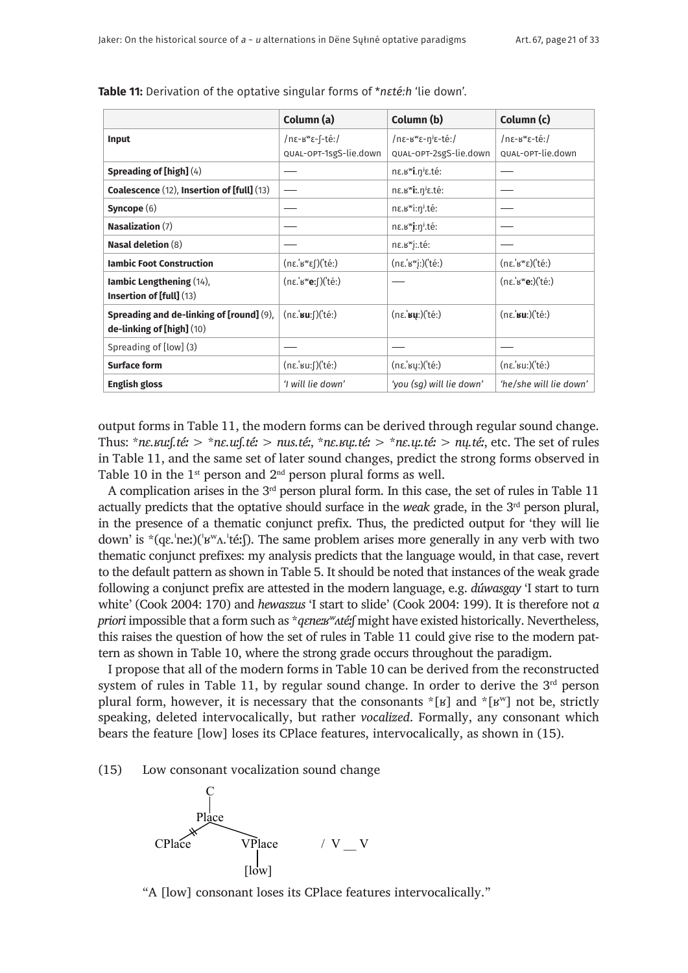|                                                                            | Column (a)                                   | Column (b)                                          | Column (c)                                          |
|----------------------------------------------------------------------------|----------------------------------------------|-----------------------------------------------------|-----------------------------------------------------|
| Input                                                                      | /nɛ-ʁʷɛ-[-téː/                               | /nε-B"ε-η <sup>j</sup> ε-té:/                       | /nɛ-ʁʷɛ-téː/                                        |
|                                                                            | QUAL-OPT-1sgS-lie.down                       | QUAL-OPT-2sgS-lie.down                              | QUAL-OPT-lie.down                                   |
| Spreading of $[high](4)$                                                   |                                              | nε. κ <sup>w</sup> i. η <sup>j</sup> ε. té:         |                                                     |
| Coalescence (12), Insertion of [full] (13)                                 |                                              | ne.B <sup>w</sup> i.n <sup>j</sup> e.té:            |                                                     |
| Syncope $(6)$                                                              |                                              | $n\varepsilon$ . $B^{\mathsf{w}}$ i: $n^j$ .té:     |                                                     |
| <b>Nasalization (7)</b>                                                    |                                              | nε. κ <sup>w</sup> j: η <sup>j</sup> . té:          |                                                     |
| <b>Nasal deletion (8)</b>                                                  |                                              | ne.B"j:.té:                                         |                                                     |
| <b>Iambic Foot Construction</b>                                            | (nε.'B"ες)('té:)                             | (nε.' <sup>B"</sup> j:)('té:)                       | $(n\varepsilon.$ 'B" $\varepsilon)$ ('té:)          |
| <b>Iambic Lengthening (14),</b><br>Insertion of [full] (13)                | $(n\varepsilon.$ 'B"e: $\int$ )('té:)        |                                                     | (nε.' <sup>B"</sup> eː)('téː)                       |
| Spreading and de-linking of [round] (9),<br>$de$ -linking of [high] $(10)$ | $(n\varepsilon$ , <b>su</b> : $\int$ )('té:) | $(n\varepsilon$ .' <b>By</b> : $)(t\acute{e}$ : $)$ | $(n\varepsilon$ , $\mathbf{su}$ : $)(t\varepsilon)$ |
| Spreading of [low] (3)                                                     |                                              |                                                     |                                                     |
| <b>Surface form</b>                                                        | $(n\varepsilon$ 'su: $\int$ )('té:)          | $(n\varepsilon, \text{ky:})(\text{t\'e:})$          | (nε.'su:)('té:)                                     |
| <b>English gloss</b>                                                       | 'I will lie down'                            | 'you (sq) will lie down'                            | 'he/she will lie down'                              |

**Table 11:** Derivation of the optative singular forms of \**nɛtéːh* 'lie down'.

output forms in Table 11, the modern forms can be derived through regular sound change. Thus: \**nɛ.ʁuːʃ.téː* > \**nɛ.uːʃ.téː* > *nus.téː*, \**nɛ.ʁųː.téː* > \**nɛ.ųː.téː* > *nų.téː*, etc. The set of rules in Table 11, and the same set of later sound changes, predict the strong forms observed in Table 10 in the  $1<sup>st</sup>$  person and  $2<sup>nd</sup>$  person plural forms as well.

A complication arises in the  $3<sup>rd</sup>$  person plural form. In this case, the set of rules in Table 11 actually predicts that the optative should surface in the *weak* grade, in the 3rd person plural, in the presence of a thematic conjunct prefix. Thus, the predicted output for 'they will lie down' is  $*(q\varepsilon, 'ne')$ ( $'w^N$  $\Lambda, 't\acute{e}$ :). The same problem arises more generally in any verb with two thematic conjunct prefixes: my analysis predicts that the language would, in that case, revert to the default pattern as shown in Table 5. It should be noted that instances of the weak grade following a conjunct prefix are attested in the modern language, e.g. *dúwasgay* 'I start to turn white' (Cook 2004: 170) and *hewaszus* 'I start to slide' (Cook 2004: 199). It is therefore not *a priori* impossible that a form such as \**qɛnex<sup>w</sup>ʌtéː*f might have existed historically. Nevertheless, this raises the question of how the set of rules in Table 11 could give rise to the modern pattern as shown in Table 10, where the strong grade occurs throughout the paradigm.

I propose that all of the modern forms in Table 10 can be derived from the reconstructed system of rules in Table 11, by regular sound change. In order to derive the  $3<sup>rd</sup>$  person plural form, however, it is necessary that the consonants  $\kappa$ [ʁ] and  $\kappa$ [ʁ<sup>w</sup>] not be, strictly speaking, deleted intervocalically, but rather *vocalized*. Formally, any consonant which bears the feature [low] loses its CPlace features, intervocalically, as shown in (15).

#### (15) Low consonant vocalization sound change



"A [low] consonant loses its CPlace features intervocalically."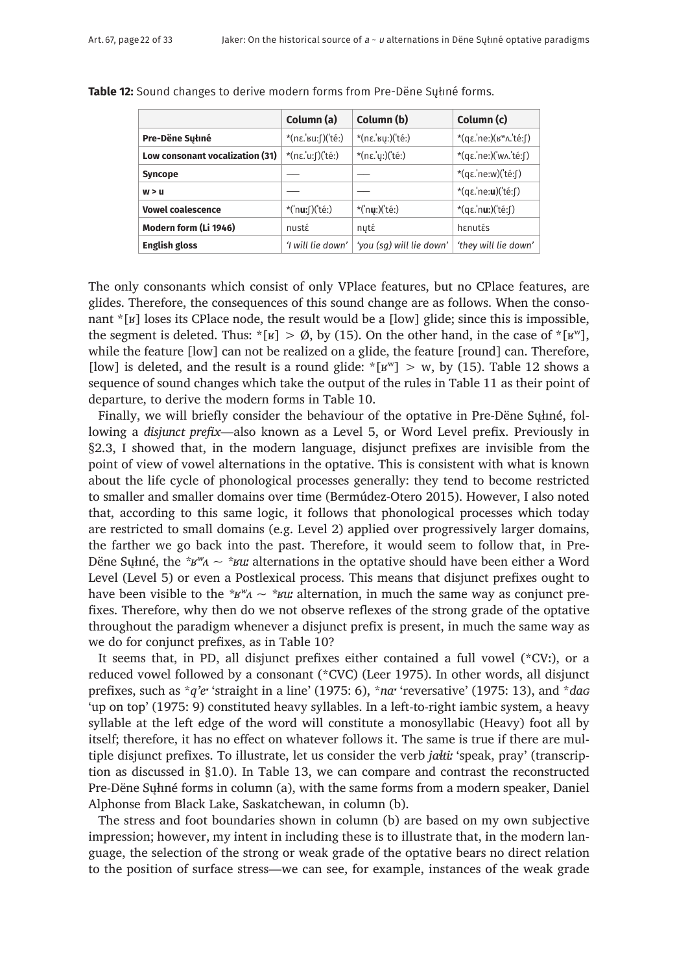|                                 | Column (a)                     | Column (b)               | Column (c)                                           |
|---------------------------------|--------------------------------|--------------------------|------------------------------------------------------|
| Pre-Dëne Sułiné                 | *(nɛ.ˈʁuːʃ)(ˈtéː)              | *(nε.' suː) ('téː)       | $*(q\varepsilon$ .'ne: $)(w^w \wedge n$ .'té: $\int$ |
| Low consonant vocalization (31) | $*(n\varepsilon.u.f)('te.)$    | *(nε.'y:)('té:)          | *(qε.'ne:)('wʌ.'té:ʃ)                                |
| <b>Syncope</b>                  |                                |                          | *(qε.'ne:w)('té: [)                                  |
| w > u                           |                                |                          | *(qε.'ne:u)('té:∫)                                   |
| <b>Vowel coalescence</b>        | *('n <b>u</b> : $\int$ )('té:) | $*('ny:)('té.)$          | $*(q\varepsilon \cdot n\mathbf{u})$ ('té:f)          |
| Modern form (Li 1946)           | nustέ                          | nyté                     | hanutás                                              |
| <b>English gloss</b>            | 'I will lie down'              | 'you (sq) will lie down' | 'they will lie down'                                 |

**Table 12:** Sound changes to derive modern forms from Pre-Dëne Sųłıné forms.

The only consonants which consist of only VPlace features, but no CPlace features, are glides. Therefore, the consequences of this sound change are as follows. When the consonant \*[ʁ] loses its CPlace node, the result would be a [low] glide; since this is impossible, the segment is deleted. Thus:  $*(s) > \emptyset$ , by (15). On the other hand, in the case of  $*(s^w)$ , while the feature [low] can not be realized on a glide, the feature [round] can. Therefore, [low] is deleted, and the result is a round glide:  $*$ [ $\mathbf{F}^{\text{w}}$ ] > w, by (15). Table 12 shows a sequence of sound changes which take the output of the rules in Table 11 as their point of departure, to derive the modern forms in Table 10.

Finally, we will briefly consider the behaviour of the optative in Pre-Dëne Sųłıné, following a *disjunct prefix*—also known as a Level 5, or Word Level prefix. Previously in §2.3, I showed that, in the modern language, disjunct prefixes are invisible from the point of view of vowel alternations in the optative. This is consistent with what is known about the life cycle of phonological processes generally: they tend to become restricted to smaller and smaller domains over time (Bermúdez-Otero 2015). However, I also noted that, according to this same logic, it follows that phonological processes which today are restricted to small domains (e.g. Level 2) applied over progressively larger domains, the farther we go back into the past. Therefore, it would seem to follow that, in Pre-Dëne Sųłıné, the *\*ʁʷʌ ~ \*ʁuː* alternations in the optative should have been either a Word Level (Level 5) or even a Postlexical process. This means that disjunct prefixes ought to have been visible to the  $*_{\mathcal{B}} \times \mathcal{B}} w_{\mathcal{A}}$  alternation, in much the same way as conjunct prefixes. Therefore, why then do we not observe reflexes of the strong grade of the optative throughout the paradigm whenever a disjunct prefix is present, in much the same way as we do for conjunct prefixes, as in Table 10?

It seems that, in PD, all disjunct prefixes either contained a full vowel (\*CVː), or a reduced vowel followed by a consonant (\*CVC) (Leer 1975). In other words, all disjunct prefixes, such as \**q'eˑ* 'straight in a line' (1975: 6), \**naˑ* 'reversative' (1975: 13), and \**daɢ* 'up on top' (1975: 9) constituted heavy syllables. In a left-to-right iambic system, a heavy syllable at the left edge of the word will constitute a monosyllabic (Heavy) foot all by itself; therefore, it has no effect on whatever follows it. The same is true if there are multiple disjunct prefixes. To illustrate, let us consider the verb *jaɬtiː* 'speak, pray' (transcription as discussed in §1.0). In Table 13, we can compare and contrast the reconstructed Pre-Dëne Sųłıné forms in column (a), with the same forms from a modern speaker, Daniel Alphonse from Black Lake, Saskatchewan, in column (b).

The stress and foot boundaries shown in column (b) are based on my own subjective impression; however, my intent in including these is to illustrate that, in the modern language, the selection of the strong or weak grade of the optative bears no direct relation to the position of surface stress—we can see, for example, instances of the weak grade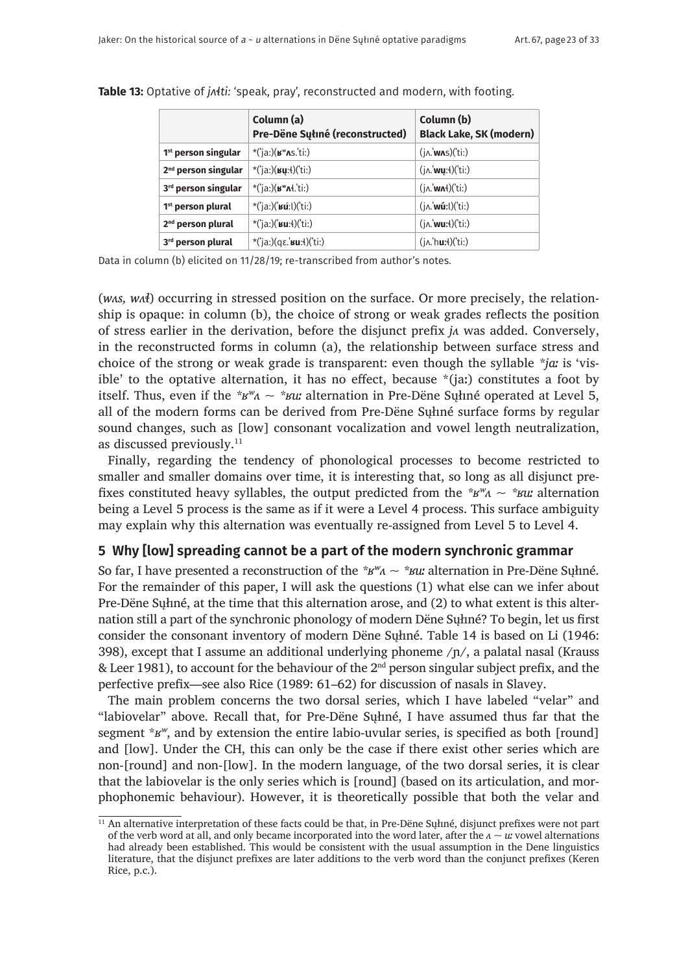|                                 | Column (a)<br>Pre-Dëne Sułiné (reconstructed)          | Column (b)<br><b>Black Lake, SK (modern)</b>     |
|---------------------------------|--------------------------------------------------------|--------------------------------------------------|
| 1 <sup>st</sup> person singular | $*(i)$ a:)( $\mathbf{B}^{\mathsf{w}}$ As.ti:)          | $(j \wedge \mathbf{w} \wedge s)('ti)$            |
| 2 <sup>nd</sup> person singular | *('ja:)( $\mu$ y: $\ell$ )('ti:)                       | $(j \wedge \mathsf{w} y:4)('ti)$                 |
| 3rd person singular             | $*($ ia:) $(\mathbf{B}^{\mathsf{w}}\mathbf{A}t$ .'ti:) | $(i \land \mathsf{wnt})(t)$ :                    |
| 1 <sup>st</sup> person plural   | *('ja:)(' $\sin($ 'ti:)                                | $(i \wedge \mathbf{w}$ ú:l $)(i \in \mathbb{N})$ |
| 2 <sup>nd</sup> person plural   | *('ja:)(' $su:4$ )('ti:)                               | $(i \land \text{wu:4})(i \text{ti})$             |
| 3rd person plural               | *('ja:)(αε.' <b>κu</b> : ('ti:)                        | $(i \wedge \text{hux})$ $(i \cdot)$              |

**Table 13:** Optative of *jʌɬtiː* 'speak, pray', reconstructed and modern, with footing.

Data in column (b) elicited on 11/28/19; re-transcribed from author's notes.

(*wʌs, wʌɬ*) occurring in stressed position on the surface. Or more precisely, the relationship is opaque: in column (b), the choice of strong or weak grades reflects the position of stress earlier in the derivation, before the disjunct prefix *jʌ* was added. Conversely, in the reconstructed forms in column (a), the relationship between surface stress and choice of the strong or weak grade is transparent: even though the syllable *\*jaː* is 'visible' to the optative alternation, it has no effect, because  $*(ia)$  constitutes a foot by itself. Thus, even if the  $*_{B}$ <sup>*w*</sup> $\sim$   $*_{B}$ *u*: alternation in Pre-Dëne Sultime operated at Level 5, all of the modern forms can be derived from Pre-Dëne Sųłıné surface forms by regular sound changes, such as [low] consonant vocalization and vowel length neutralization, as discussed previously.11

Finally, regarding the tendency of phonological processes to become restricted to smaller and smaller domains over time, it is interesting that, so long as all disjunct prefixes constituted heavy syllables, the output predicted from the  $*$  $\mathbf{B}^w\mathbf{A} \sim * \mathbf{B}^w\mathbf{B}$  alternation being a Level 5 process is the same as if it were a Level 4 process. This surface ambiguity may explain why this alternation was eventually re-assigned from Level 5 to Level 4.

## **5 Why [low] spreading cannot be a part of the modern synchronic grammar**

So far, I have presented a reconstruction of the  $*_{\mathcal{B}} w_{\Lambda} \sim *_{\mathcal{B}} w_{\Lambda}$  alternation in Pre-Dëne Suhné. For the remainder of this paper, I will ask the questions (1) what else can we infer about Pre-Dëne Sųłıné, at the time that this alternation arose, and (2) to what extent is this alternation still a part of the synchronic phonology of modern Dëne Sųłıné? To begin, let us first consider the consonant inventory of modern Dëne Sųłıné. Table 14 is based on Li (1946: 398), except that I assume an additional underlying phoneme  $/p/$ , a palatal nasal (Krauss & Leer 1981), to account for the behaviour of the  $2<sup>nd</sup>$  person singular subject prefix, and the perfective prefix—see also Rice (1989: 61–62) for discussion of nasals in Slavey.

The main problem concerns the two dorsal series, which I have labeled "velar" and "labiovelar" above. Recall that, for Pre-Dëne Sųłıné, I have assumed thus far that the segment \**ʁʷ*, and by extension the entire labio-uvular series, is specified as both [round] and [low]. Under the CH, this can only be the case if there exist other series which are non-[round] and non-[low]. In the modern language, of the two dorsal series, it is clear that the labiovelar is the only series which is [round] (based on its articulation, and morphophonemic behaviour). However, it is theoretically possible that both the velar and

<sup>&</sup>lt;sup>11</sup> An alternative interpretation of these facts could be that, in Pre-Dëne Sųłiné, disjunct prefixes were not part of the verb word at all, and only became incorporated into the word later, after the *ʌ ~ uː* vowel alternations had already been established. This would be consistent with the usual assumption in the Dene linguistics literature, that the disjunct prefixes are later additions to the verb word than the conjunct prefixes (Keren Rice, p.c.).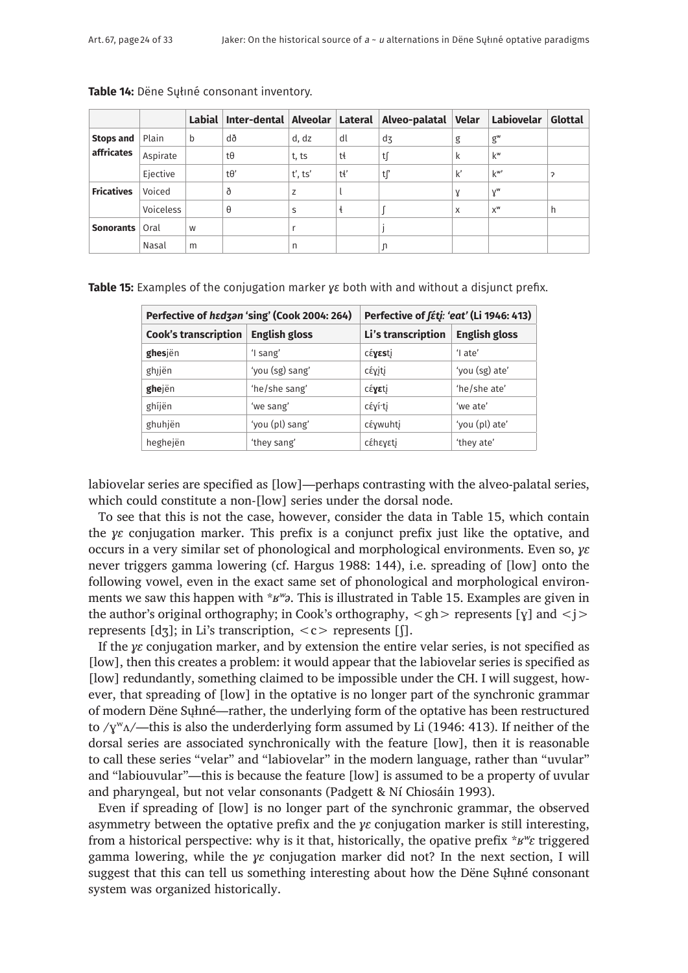|                   |           | Labial | Inter-dental Alveolar Lateral |         |     | Alveo-palatal  | Velar         | Labiovelar       | Glottal |
|-------------------|-----------|--------|-------------------------------|---------|-----|----------------|---------------|------------------|---------|
| <b>Stops and</b>  | Plain     | b      | ďð                            | d, dz   | dl  | d <sub>3</sub> | g             | $g^w$            |         |
| affricates        | Aspirate  |        | tθ                            | t, ts   | tł  | t∫             | k             | $k^w$            |         |
|                   | Ejective  |        | $t\theta'$                    | t', ts' | tł' | ∣t∫            | $\mathsf{k}'$ | $k^{\mathsf{w}}$ | ς       |
| <b>Fricatives</b> | Voiced    |        | ð                             | Z       |     |                | γ             | $Y^{\mathsf{w}}$ |         |
|                   | Voiceless |        | θ                             | S       | ŧ   |                | X             | $X^{\mathsf{w}}$ | h       |
| <b>Sonorants</b>  | Oral      | W      |                               |         |     |                |               |                  |         |
|                   | Nasal     | m      |                               | n       |     | n              |               |                  |         |

**Table 14:** Dëne Sųłıné consonant inventory.

**Table 15:** Examples of the conjugation marker *y* $\varepsilon$  both with and without a disjunct prefix.

|                                                     | Perfective of hadzan 'sing' (Cook 2004: 264) | Perfective of <i>fétj: 'eat'</i> (Li 1946: 413) |                      |  |
|-----------------------------------------------------|----------------------------------------------|-------------------------------------------------|----------------------|--|
| <b>Cook's transcription</b><br><b>English gloss</b> |                                              | Li's transcription                              | <b>English gloss</b> |  |
| ghesjën                                             | 'I sang'                                     | céyesti                                         | $'$ l ate'           |  |
| ghjën                                               | 'you (sg) sang'                              | <b>cέγiti</b>                                   | 'you (sg) ate'       |  |
| ghejën                                              | 'he/she sang'                                | céyeti                                          | 'he/she ate'         |  |
| ghíjën                                              | 'we sang'                                    | cέγí tj                                         | 'we ate'             |  |
| ghuhjën                                             | 'you (pl) sang'                              | <b>cέγwuhtj</b>                                 | 'you (pl) ate'       |  |
| heghejën                                            | 'they sang'                                  | cέhεγεtj                                        | 'they ate'           |  |

labiovelar series are specified as [low]—perhaps contrasting with the alveo-palatal series, which could constitute a non-[low] series under the dorsal node.

To see that this is not the case, however, consider the data in Table 15, which contain the *ɣɛ* conjugation marker. This prefix is a conjunct prefix just like the optative, and occurs in a very similar set of phonological and morphological environments. Even so, *ɣɛ* never triggers gamma lowering (cf. Hargus 1988: 144), i.e. spreading of [low] onto the following vowel, even in the exact same set of phonological and morphological environments we saw this happen with \**ʁʷə*. This is illustrated in Table 15. Examples are given in the author's original orthography; in Cook's orthography,  $\langle gh \rangle$  represents [y] and  $\langle j \rangle$ represents  $[d\overline{3}]$ ; in Li's transcription,  $\langle c \rangle$  represents [[].

If the *ɣɛ* conjugation marker, and by extension the entire velar series, is not specified as [low], then this creates a problem: it would appear that the labiovelar series is specified as [low] redundantly, something claimed to be impossible under the CH. I will suggest, however, that spreading of [low] in the optative is no longer part of the synchronic grammar of modern Dëne Sųłıné—rather, the underlying form of the optative has been restructured to  $\gamma y^w A$ —this is also the underderlying form assumed by Li (1946: 413). If neither of the dorsal series are associated synchronically with the feature [low], then it is reasonable to call these series "velar" and "labiovelar" in the modern language, rather than "uvular" and "labiouvular"—this is because the feature [low] is assumed to be a property of uvular and pharyngeal, but not velar consonants (Padgett & Ní Chiosáin 1993).

Even if spreading of [low] is no longer part of the synchronic grammar, the observed asymmetry between the optative prefix and the *ɣɛ* conjugation marker is still interesting, from a historical perspective: why is it that, historically, the opative prefix \**ʁʷɛ* triggered gamma lowering, while the *ɣɛ* conjugation marker did not? In the next section, I will suggest that this can tell us something interesting about how the Dëne Sųłıné consonant system was organized historically.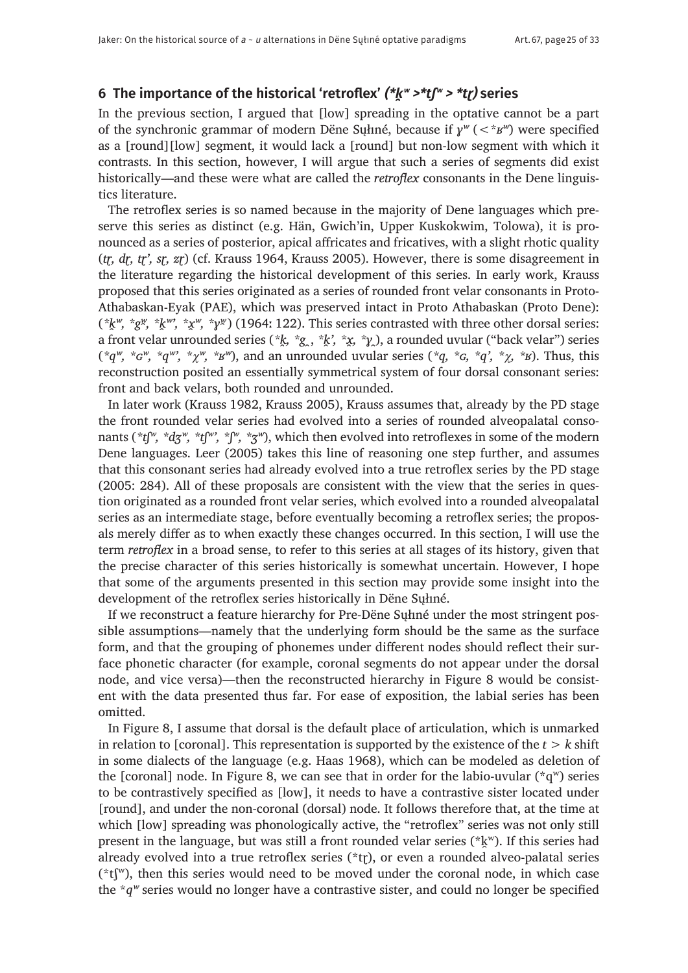# **6 The importance of the historical 'retroflex' (\*k̯ʷ >\*tʃʷ > \*tɽ) series**

In the previous section, I argued that [low] spreading in the optative cannot be a part of the synchronic grammar of modern Dëne Sųłıné, because if *ɣʷ* (<\**ʁʷ*) were specified as a [round][low] segment, it would lack a [round] but non-low segment with which it contrasts. In this section, however, I will argue that such a series of segments did exist historically—and these were what are called the *retroflex* consonants in the Dene linguistics literature.

The retroflex series is so named because in the majority of Dene languages which preserve this series as distinct (e.g. Hän, Gwich'in, Upper Kuskokwim, Tolowa), it is pronounced as a series of posterior, apical affricates and fricatives, with a slight rhotic quality (*tɽ, dɽ, tɽ', sɽ, zɽ*) (cf. Krauss 1964, Krauss 2005). However, there is some disagreement in the literature regarding the historical development of this series. In early work, Krauss proposed that this series originated as a series of rounded front velar consonants in Proto-Athabaskan-Eyak (PAE), which was preserved intact in Proto Athabaskan (Proto Dene):  $(*k^w, *g^w, *k^w, *x^w, *y^w)$  (1964: 122). This series contrasted with three other dorsal series: a front velar unrounded series (*\*k̯, \*g* ̯, *\*k̯', \*x̯, \*ɣ ̯*), a rounded uvular ("back velar") series (*\*qʷ, \*ɢʷ, \*qʷ', \**χ*ʷ, \*ʁʷ*), and an unrounded uvular series (*\*q, \*ɢ, \*q', \**χ*, \*ʁ*). Thus, this reconstruction posited an essentially symmetrical system of four dorsal consonant series: front and back velars, both rounded and unrounded.

In later work (Krauss 1982, Krauss 2005), Krauss assumes that, already by the PD stage the front rounded velar series had evolved into a series of rounded alveopalatal consonants (*\*tʃʷ, \*dʒʷ, \*tʃʷ', \*ʃʷ, \*ʒʷ*), which then evolved into retroflexes in some of the modern Dene languages. Leer (2005) takes this line of reasoning one step further, and assumes that this consonant series had already evolved into a true retroflex series by the PD stage (2005: 284). All of these proposals are consistent with the view that the series in question originated as a rounded front velar series, which evolved into a rounded alveopalatal series as an intermediate stage, before eventually becoming a retroflex series; the proposals merely differ as to when exactly these changes occurred. In this section, I will use the term *retroflex* in a broad sense, to refer to this series at all stages of its history, given that the precise character of this series historically is somewhat uncertain. However, I hope that some of the arguments presented in this section may provide some insight into the development of the retroflex series historically in Dëne Sųłıné.

If we reconstruct a feature hierarchy for Pre-Dëne Sųłıné under the most stringent possible assumptions—namely that the underlying form should be the same as the surface form, and that the grouping of phonemes under different nodes should reflect their surface phonetic character (for example, coronal segments do not appear under the dorsal node, and vice versa)—then the reconstructed hierarchy in Figure 8 would be consistent with the data presented thus far. For ease of exposition, the labial series has been omitted.

In Figure 8, I assume that dorsal is the default place of articulation, which is unmarked in relation to [coronal]. This representation is supported by the existence of the *t > k* shift in some dialects of the language (e.g. Haas 1968), which can be modeled as deletion of the [coronal] node. In Figure 8, we can see that in order for the labio-uvular  $({}^{\star}q^w)$  series to be contrastively specified as [low], it needs to have a contrastive sister located under [round], and under the non-coronal (dorsal) node. It follows therefore that, at the time at which [low] spreading was phonologically active, the "retroflex" series was not only still present in the language, but was still a front rounded velar series ( $k_x$ <sup>w</sup>). If this series had already evolved into a true retroflex series (\*tr), or even a rounded alveo-palatal series  $(*t[<sup>w</sup>)$ , then this series would need to be moved under the coronal node, in which case the \**qʷ* series would no longer have a contrastive sister, and could no longer be specified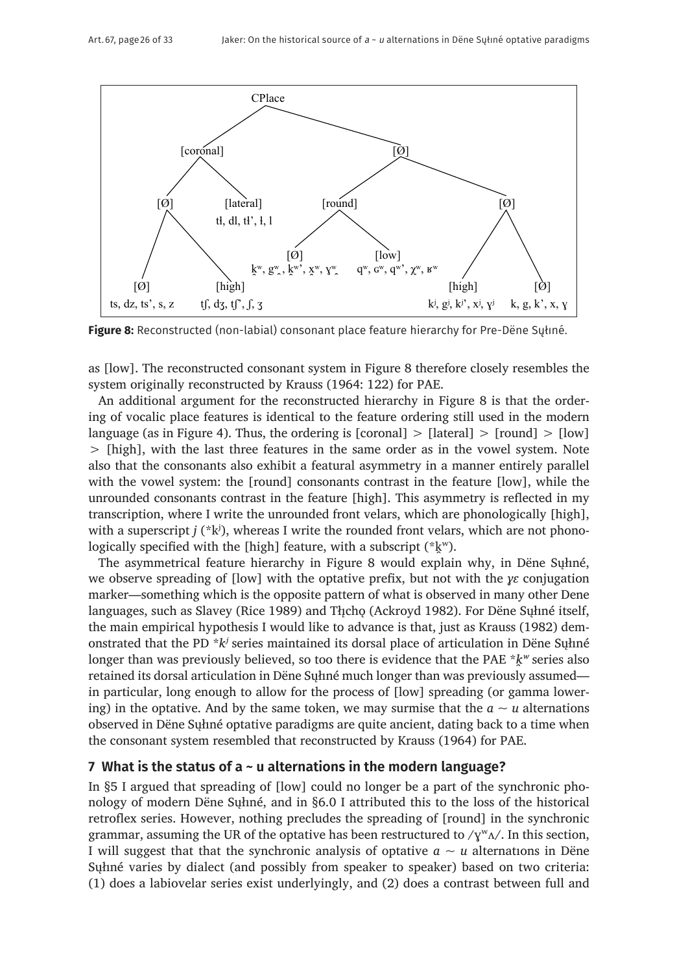

**Figure 8:** Reconstructed (non-labial) consonant place feature hierarchy for Pre-Dëne Sųłıné.

as [low]. The reconstructed consonant system in Figure 8 therefore closely resembles the system originally reconstructed by Krauss (1964: 122) for PAE.

An additional argument for the reconstructed hierarchy in Figure 8 is that the ordering of vocalic place features is identical to the feature ordering still used in the modern language (as in Figure 4). Thus, the ordering is [coronal]  $>$  [lateral]  $>$  [round]  $>$  [low] > [high], with the last three features in the same order as in the vowel system. Note also that the consonants also exhibit a featural asymmetry in a manner entirely parallel with the vowel system: the [round] consonants contrast in the feature [low], while the unrounded consonants contrast in the feature [high]. This asymmetry is reflected in my transcription, where I write the unrounded front velars, which are phonologically [high], with a superscript  $j$  ( $*k$ <sup>i</sup>), whereas I write the rounded front velars, which are not phonologically specified with the [high] feature, with a subscript  $(*\,k^w)$ .

The asymmetrical feature hierarchy in Figure 8 would explain why, in Dëne Sųłıné, we observe spreading of [low] with the optative prefix, but not with the *ɣɛ* conjugation marker—something which is the opposite pattern of what is observed in many other Dene languages, such as Slavey (Rice 1989) and Thcho (Ackroyd 1982). For Dëne Suhné itself, the main empirical hypothesis I would like to advance is that, just as Krauss (1982) demonstrated that the PD \**kʲ* series maintained its dorsal place of articulation in Dëne Sųłıné longer than was previously believed, so too there is evidence that the PAE \* $k^w$  series also retained its dorsal articulation in Dëne Sųłıné much longer than was previously assumed in particular, long enough to allow for the process of [low] spreading (or gamma lowering) in the optative. And by the same token, we may surmise that the  $a \sim u$  alternations observed in Dëne Sųłıné optative paradigms are quite ancient, dating back to a time when the consonant system resembled that reconstructed by Krauss (1964) for PAE.

# **7 What is the status of a ~ u alternations in the modern language?**

In §5 I argued that spreading of [low] could no longer be a part of the synchronic phonology of modern Dëne Sųłıné, and in §6.0 I attributed this to the loss of the historical retroflex series. However, nothing precludes the spreading of [round] in the synchronic grammar, assuming the UR of the optative has been restructured to  $/\gamma^w \Lambda /$ . In this section, I will suggest that that the synchronic analysis of optative  $a \sim u$  alternations in Dene Sųłıné varies by dialect (and possibly from speaker to speaker) based on two criteria: (1) does a labiovelar series exist underlyingly, and (2) does a contrast between full and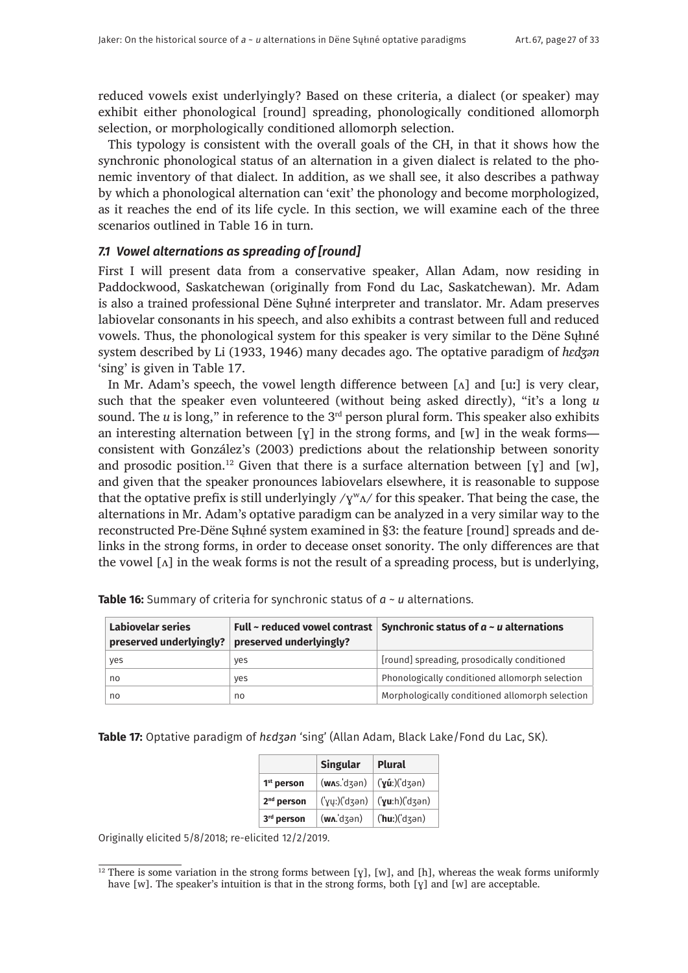reduced vowels exist underlyingly? Based on these criteria, a dialect (or speaker) may exhibit either phonological [round] spreading, phonologically conditioned allomorph selection, or morphologically conditioned allomorph selection.

This typology is consistent with the overall goals of the CH, in that it shows how the synchronic phonological status of an alternation in a given dialect is related to the phonemic inventory of that dialect. In addition, as we shall see, it also describes a pathway by which a phonological alternation can 'exit' the phonology and become morphologized, as it reaches the end of its life cycle. In this section, we will examine each of the three scenarios outlined in Table 16 in turn.

#### *7.1 Vowel alternations as spreading of [round]*

First I will present data from a conservative speaker, Allan Adam, now residing in Paddockwood, Saskatchewan (originally from Fond du Lac, Saskatchewan). Mr. Adam is also a trained professional Dëne Sųłıné interpreter and translator. Mr. Adam preserves labiovelar consonants in his speech, and also exhibits a contrast between full and reduced vowels. Thus, the phonological system for this speaker is very similar to the Dëne Sųłıné system described by Li (1933, 1946) many decades ago. The optative paradigm of *hɛdʒən* 'sing' is given in Table 17.

In Mr. Adam's speech, the vowel length difference between  $[\Lambda]$  and  $[\mu]$  is very clear, such that the speaker even volunteered (without being asked directly), "it's a long *u* sound. The  $u$  is long," in reference to the  $3<sup>rd</sup>$  person plural form. This speaker also exhibits an interesting alternation between  $[y]$  in the strong forms, and  $[w]$  in the weak forms consistent with González's (2003) predictions about the relationship between sonority and prosodic position.<sup>12</sup> Given that there is a surface alternation between [y] and [w], and given that the speaker pronounces labiovelars elsewhere, it is reasonable to suppose that the optative prefix is still underlyingly  $/\gamma^w \Lambda$  for this speaker. That being the case, the alternations in Mr. Adam's optative paradigm can be analyzed in a very similar way to the reconstructed Pre-Dëne Sųłıné system examined in §3: the feature [round] spreads and delinks in the strong forms, in order to decease onset sonority. The only differences are that the vowel  $\lceil \Lambda \rceil$  in the weak forms is not the result of a spreading process, but is underlying,

| Labiovelar series<br>preserved underlyingly? | preserved underlyingly? | Full ~ reduced vowel contrast Synchronic status of $a \sim u$ alternations |
|----------------------------------------------|-------------------------|----------------------------------------------------------------------------|
| yes                                          | ves                     | [round] spreading, prosodically conditioned                                |
| no                                           | ves                     | Phonologically conditioned allomorph selection                             |
| no                                           | no                      | Morphologically conditioned allomorph selection                            |

**Table 16:** Summary of criteria for synchronic status of *a ~ u* alternations.

#### **Table 17:** Optative paradigm of *hɛdʒən* 'sing' (Allan Adam, Black Lake/Fond du Lac, SK).

|                        | Singular                                    | Plural                   |
|------------------------|---------------------------------------------|--------------------------|
| 1 <sup>st</sup> person | (wx.dzən)                                   | $(y\hat{u})$ ('dʒən)     |
| 2 <sup>nd</sup> person | (yy:)('dzən)                                | $(yu:h)(d\bar{\lambda})$ |
| 3rd person             | $(\mathsf{w}\Lambda \dot{\mathsf{d}}$ dzən) | $( 'hu: ) ('d \leq n )$  |

Originally elicited 5/8/2018; re-elicited 12/2/2019.

<sup>&</sup>lt;sup>12</sup> There is some variation in the strong forms between [y], [w], and [h], whereas the weak forms uniformly have [w]. The speaker's intuition is that in the strong forms, both [ $\gamma$ ] and [w] are acceptable.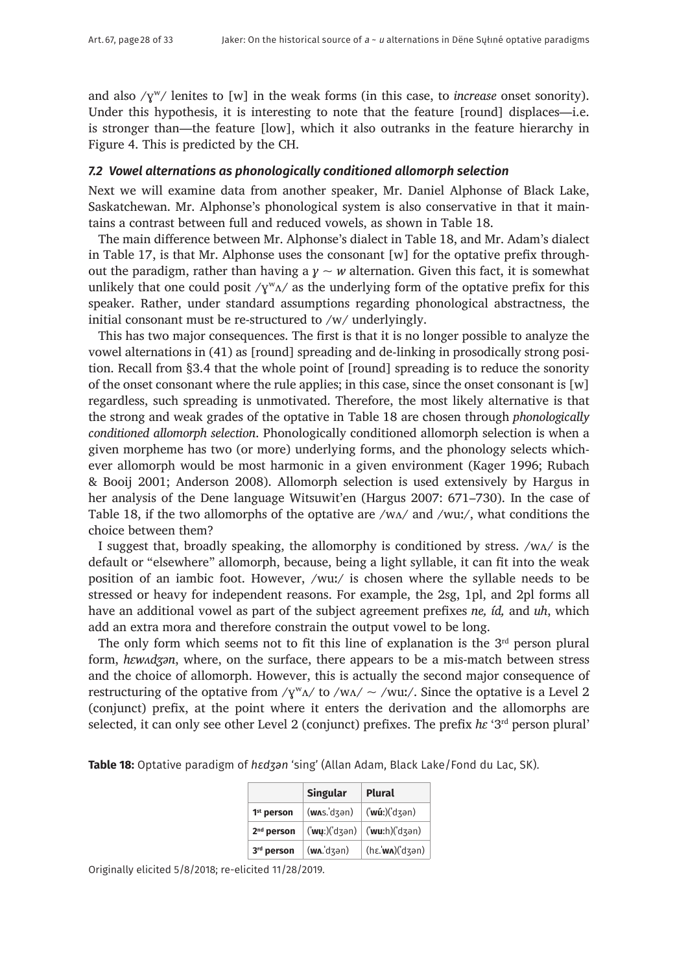and also /ɣʷ/ lenites to [w] in the weak forms (in this case, to *increase* onset sonority). Under this hypothesis, it is interesting to note that the feature [round] displaces—i.e. is stronger than—the feature [low], which it also outranks in the feature hierarchy in Figure 4. This is predicted by the CH.

#### *7.2 Vowel alternations as phonologically conditioned allomorph selection*

Next we will examine data from another speaker, Mr. Daniel Alphonse of Black Lake, Saskatchewan. Mr. Alphonse's phonological system is also conservative in that it maintains a contrast between full and reduced vowels, as shown in Table 18.

The main difference between Mr. Alphonse's dialect in Table 18, and Mr. Adam's dialect in Table 17, is that Mr. Alphonse uses the consonant  $[w]$  for the optative prefix throughout the paradigm, rather than having a  $y \sim w$  alternation. Given this fact, it is somewhat unlikely that one could posit  $/\gamma^w \Lambda$  as the underlying form of the optative prefix for this speaker. Rather, under standard assumptions regarding phonological abstractness, the initial consonant must be re-structured to /w/ underlyingly.

This has two major consequences. The first is that it is no longer possible to analyze the vowel alternations in (41) as [round] spreading and de-linking in prosodically strong position. Recall from §3.4 that the whole point of [round] spreading is to reduce the sonority of the onset consonant where the rule applies; in this case, since the onset consonant is [w] regardless, such spreading is unmotivated. Therefore, the most likely alternative is that the strong and weak grades of the optative in Table 18 are chosen through *phonologically conditioned allomorph selection*. Phonologically conditioned allomorph selection is when a given morpheme has two (or more) underlying forms, and the phonology selects whichever allomorph would be most harmonic in a given environment (Kager 1996; Rubach & Booij 2001; Anderson 2008). Allomorph selection is used extensively by Hargus in her analysis of the Dene language Witsuwit'en (Hargus 2007: 671–730). In the case of Table 18, if the two allomorphs of the optative are /wʌ/ and /wuː/, what conditions the choice between them?

I suggest that, broadly speaking, the allomorphy is conditioned by stress. /wʌ/ is the default or "elsewhere" allomorph, because, being a light syllable, it can fit into the weak position of an iambic foot. However, /wuː/ is chosen where the syllable needs to be stressed or heavy for independent reasons. For example, the 2sg, 1pl, and 2pl forms all have an additional vowel as part of the subject agreement prefixes *ne, íd,* and *uh*, which add an extra mora and therefore constrain the output vowel to be long.

The only form which seems not to fit this line of explanation is the  $3<sup>rd</sup>$  person plural form, *hɛwʌdʒən*, where, on the surface, there appears to be a mis-match between stress and the choice of allomorph. However, this is actually the second major consequence of restructuring of the optative from / $\gamma^w A$ / to /w $\Delta$ / ~ /wuː/. Since the optative is a Level 2 (conjunct) prefix, at the point where it enters the derivation and the allomorphs are selected, it can only see other Level 2 (conjunct) prefixes. The prefix *hɛ* '3rd person plural'

|                        | <b>Singular</b> | <b>Plural</b>                                                                                                                                    |  |
|------------------------|-----------------|--------------------------------------------------------------------------------------------------------------------------------------------------|--|
| 1 <sup>st</sup> person | $(w$ лs. dʒən)  | $\int$ ('wúː)('dʒən)                                                                                                                             |  |
| $2nd$ person           |                 | $\left(\mathbf{w}\mathbf{u}:\right)\left(\mathbf{d}\mathbf{u}\right)$ ( $\mathbf{w}\mathbf{u}:\mathbf{h}$ ) ( $\mathbf{d}\mathbf{u}\mathbf{u}$ ) |  |
| 3rd person             | (wʌ.ˈdʒən)      | (hε. wn) (dʒən)                                                                                                                                  |  |

**Table 18:** Optative paradigm of *hɛdʒən* 'sing' (Allan Adam, Black Lake/Fond du Lac, SK).

Originally elicited 5/8/2018; re-elicited 11/28/2019.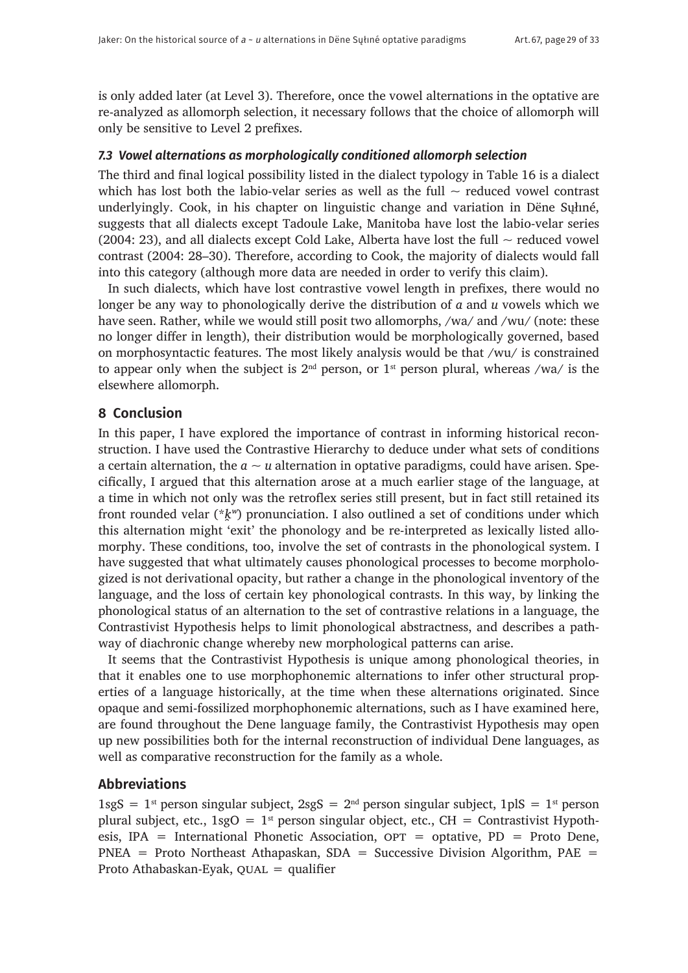is only added later (at Level 3). Therefore, once the vowel alternations in the optative are re-analyzed as allomorph selection, it necessary follows that the choice of allomorph will only be sensitive to Level 2 prefixes.

#### *7.3 Vowel alternations as morphologically conditioned allomorph selection*

The third and final logical possibility listed in the dialect typology in Table 16 is a dialect which has lost both the labio-velar series as well as the full  $\sim$  reduced vowel contrast underlyingly. Cook, in his chapter on linguistic change and variation in Dëne Sųłıné, suggests that all dialects except Tadoule Lake, Manitoba have lost the labio-velar series (2004: 23), and all dialects except Cold Lake, Alberta have lost the full  $\sim$  reduced vowel contrast (2004: 28–30). Therefore, according to Cook, the majority of dialects would fall into this category (although more data are needed in order to verify this claim).

In such dialects, which have lost contrastive vowel length in prefixes, there would no longer be any way to phonologically derive the distribution of *a* and *u* vowels which we have seen. Rather, while we would still posit two allomorphs, /wa/ and /wu/ (note: these no longer differ in length), their distribution would be morphologically governed, based on morphosyntactic features. The most likely analysis would be that /wu/ is constrained to appear only when the subject is  $2<sup>nd</sup>$  person, or  $1<sup>st</sup>$  person plural, whereas /wa/ is the elsewhere allomorph.

# **8 Conclusion**

In this paper, I have explored the importance of contrast in informing historical reconstruction. I have used the Contrastive Hierarchy to deduce under what sets of conditions a certain alternation, the  $a \sim u$  alternation in optative paradigms, could have arisen. Specifically, I argued that this alternation arose at a much earlier stage of the language, at a time in which not only was the retroflex series still present, but in fact still retained its front rounded velar (\* $k^w$ ) pronunciation. I also outlined a set of conditions under which this alternation might 'exit' the phonology and be re-interpreted as lexically listed allomorphy. These conditions, too, involve the set of contrasts in the phonological system. I have suggested that what ultimately causes phonological processes to become morphologized is not derivational opacity, but rather a change in the phonological inventory of the language, and the loss of certain key phonological contrasts. In this way, by linking the phonological status of an alternation to the set of contrastive relations in a language, the Contrastivist Hypothesis helps to limit phonological abstractness, and describes a pathway of diachronic change whereby new morphological patterns can arise.

It seems that the Contrastivist Hypothesis is unique among phonological theories, in that it enables one to use morphophonemic alternations to infer other structural properties of a language historically, at the time when these alternations originated. Since opaque and semi-fossilized morphophonemic alternations, such as I have examined here, are found throughout the Dene language family, the Contrastivist Hypothesis may open up new possibilities both for the internal reconstruction of individual Dene languages, as well as comparative reconstruction for the family as a whole.

### **Abbreviations**

 $1sgS = 1^{st}$  person singular subject,  $2sgS = 2^{nd}$  person singular subject,  $1pIS = 1^{st}$  person plural subject, etc.,  $1sgO = 1^{st}$  person singular object, etc., CH = Contrastivist Hypothesis, IPA = International Phonetic Association,  $OPT = optative$ , PD = Proto Dene,  $PNEA$  = Proto Northeast Athapaskan, SDA = Successive Division Algorithm, PAE = Proto Athabaskan-Eyak,  $QUAL =$  qualifier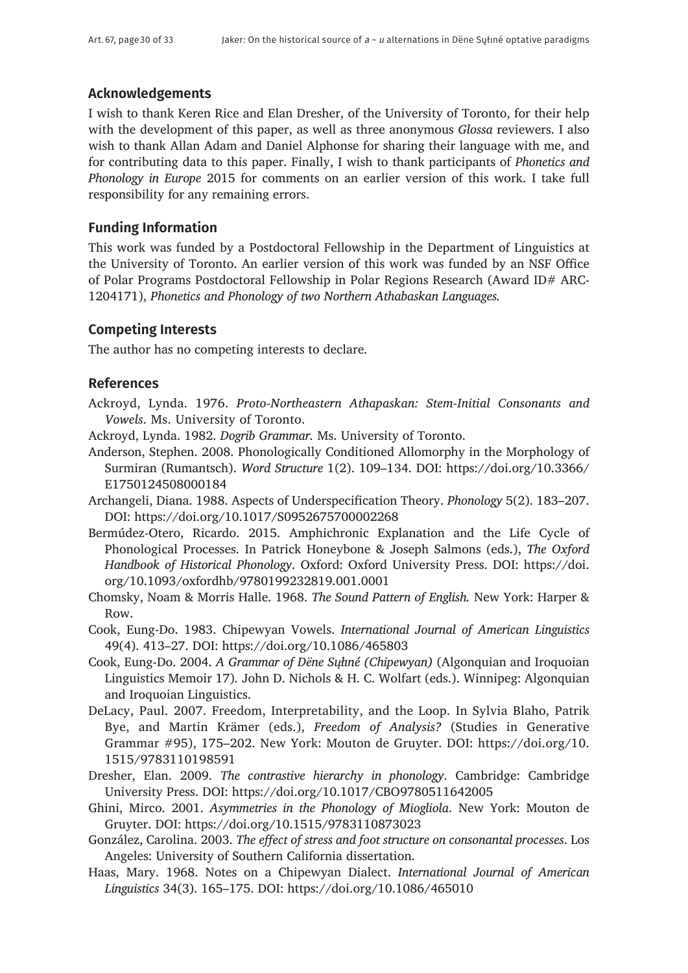# **Acknowledgements**

I wish to thank Keren Rice and Elan Dresher, of the University of Toronto, for their help with the development of this paper, as well as three anonymous *Glossa* reviewers. I also wish to thank Allan Adam and Daniel Alphonse for sharing their language with me, and for contributing data to this paper. Finally, I wish to thank participants of *Phonetics and Phonology in Europe* 2015 for comments on an earlier version of this work. I take full responsibility for any remaining errors.

# **Funding Information**

This work was funded by a Postdoctoral Fellowship in the Department of Linguistics at the University of Toronto. An earlier version of this work was funded by an NSF Office of Polar Programs Postdoctoral Fellowship in Polar Regions Research (Award ID# ARC-1204171), *Phonetics and Phonology of two Northern Athabaskan Languages.*

# **Competing Interests**

The author has no competing interests to declare.

# **References**

- Ackroyd, Lynda. 1976. *Proto-Northeastern Athapaskan: Stem-Initial Consonants and Vowels*. Ms. University of Toronto.
- Ackroyd, Lynda. 1982. *Dogrib Grammar.* Ms. University of Toronto.
- Anderson, Stephen. 2008. Phonologically Conditioned Allomorphy in the Morphology of Surmiran (Rumantsch). *Word Structure* 1(2). 109–134. DOI: [https://doi.org/10.3366/](https://doi.org/10.3366/E1750124508000184) [E1750124508000184](https://doi.org/10.3366/E1750124508000184)
- Archangeli, Diana. 1988. Aspects of Underspecification Theory. *Phonology* 5(2). 183–207. DOI: <https://doi.org/10.1017/S0952675700002268>
- Bermúdez-Otero, Ricardo. 2015. Amphichronic Explanation and the Life Cycle of Phonological Processes. In Patrick Honeybone & Joseph Salmons (eds.), *The Oxford Handbook of Historical Phonology*. Oxford: Oxford University Press. DOI: [https://doi.](https://doi.org/10.1093/oxfordhb/9780199232819.001.0001) [org/10.1093/oxfordhb/9780199232819.001.0001](https://doi.org/10.1093/oxfordhb/9780199232819.001.0001)
- Chomsky, Noam & Morris Halle. 1968. *The Sound Pattern of English.* New York: Harper & Row.
- Cook, Eung-Do. 1983. Chipewyan Vowels. *International Journal of American Linguistics* 49(4). 413–27. DOI:<https://doi.org/10.1086/465803>
- Cook, Eung-Do. 2004. *A Grammar of Dëne Sųłıné (Chipewyan)* (Algonquian and Iroquoian Linguistics Memoir 17)*.* John D. Nichols & H. C. Wolfart (eds.). Winnipeg: Algonquian and Iroquoian Linguistics.
- DeLacy, Paul. 2007. Freedom, Interpretability, and the Loop. In Sylvia Blaho, Patrik Bye, and Martin Krämer (eds.), *Freedom of Analysis?* (Studies in Generative Grammar #95), 175–202. New York: Mouton de Gruyter. DOI: [https://doi.org/10.](https://doi.org/10.1515/9783110198591) [1515/9783110198591](https://doi.org/10.1515/9783110198591)
- Dresher, Elan. 2009. *The contrastive hierarchy in phonology*. Cambridge: Cambridge University Press. DOI: <https://doi.org/10.1017/CBO9780511642005>
- Ghini, Mirco. 2001. *Asymmetries in the Phonology of Miogliola*. New York: Mouton de Gruyter. DOI: <https://doi.org/10.1515/9783110873023>
- González, Carolina. 2003. *The effect of stress and foot structure on consonantal processes*. Los Angeles: University of Southern California dissertation.
- Haas, Mary. 1968. Notes on a Chipewyan Dialect. *International Journal of American Linguistics* 34(3). 165–175. DOI: <https://doi.org/10.1086/465010>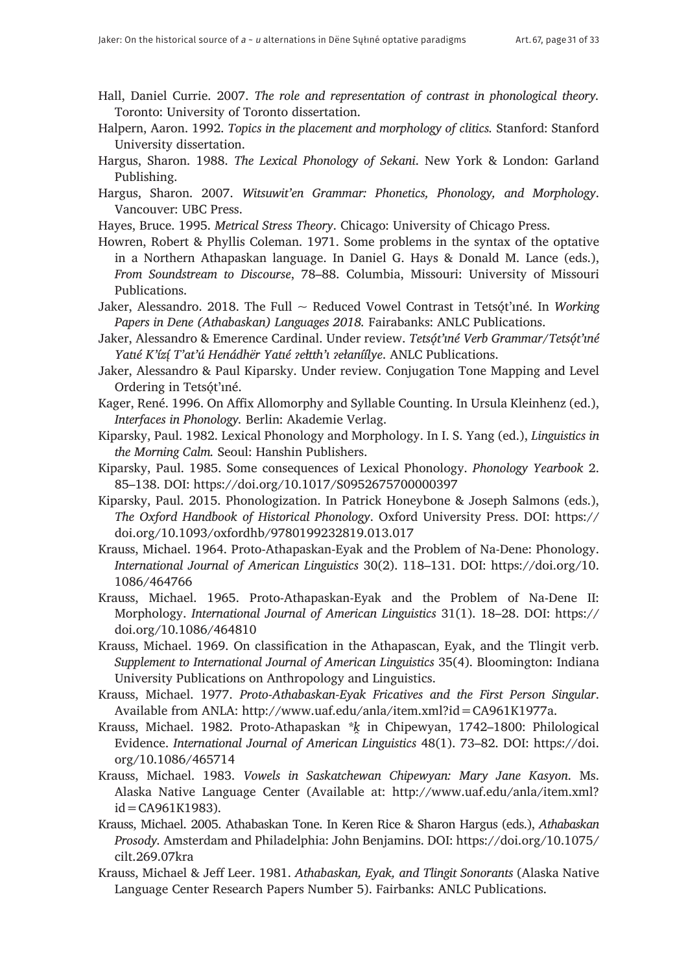- Hall, Daniel Currie. 2007. *The role and representation of contrast in phonological theory.* Toronto: University of Toronto dissertation.
- Halpern, Aaron. 1992. *Topics in the placement and morphology of clitics.* Stanford: Stanford University dissertation.
- Hargus, Sharon. 1988. *The Lexical Phonology of Sekani*. New York & London: Garland Publishing.
- Hargus, Sharon. 2007. *Witsuwit'en Grammar: Phonetics, Phonology, and Morphology*. Vancouver: UBC Press.
- Hayes, Bruce. 1995. *Metrical Stress Theory*. Chicago: University of Chicago Press.
- Howren, Robert & Phyllis Coleman. 1971. Some problems in the syntax of the optative in a Northern Athapaskan language. In Daniel G. Hays & Donald M. Lance (eds.), *From Soundstream to Discourse*, 78–88. Columbia, Missouri: University of Missouri Publications.
- Jaker, Alessandro. 2018. The Full ~ Reduced Vowel Contrast in Tetsǫ́t'ıne. In *Working Papers in Dene (Athabaskan) Languages 2018.* Fairabanks: ANLC Publications.
- Jaker, Alessandro & Emerence Cardinal. Under review. Tetsǿt'une Verb Grammar/Tetsǿt'une *Yatié K'ízí* T'at'ú Henádhër Yatié zełtth'i zełaníílye. ANLC Publications.
- Jaker, Alessandro & Paul Kiparsky. Under review. Conjugation Tone Mapping and Level Ordering in Tetsót'iné.
- Kager, René. 1996. On Affix Allomorphy and Syllable Counting. In Ursula Kleinhenz (ed.), *Interfaces in Phonology.* Berlin: Akademie Verlag.
- Kiparsky, Paul. 1982. Lexical Phonology and Morphology. In I. S. Yang (ed.), *Linguistics in the Morning Calm.* Seoul: Hanshin Publishers.
- Kiparsky, Paul. 1985. Some consequences of Lexical Phonology. *Phonology Yearbook* 2. 85–138. DOI: <https://doi.org/10.1017/S0952675700000397>
- Kiparsky, Paul. 2015. Phonologization. In Patrick Honeybone & Joseph Salmons (eds.), *The Oxford Handbook of Historical Phonology*. Oxford University Press. DOI: [https://](https://doi.org/10.1093/oxfordhb/9780199232819.013.017) [doi.org/10.1093/oxfordhb/9780199232819.013.017](https://doi.org/10.1093/oxfordhb/9780199232819.013.017)
- Krauss, Michael. 1964. Proto-Athapaskan-Eyak and the Problem of Na-Dene: Phonology. *International Journal of American Linguistics* 30(2). 118–131. DOI: [https://doi.org/10.](https://doi.org/10.1086/464766) [1086/464766](https://doi.org/10.1086/464766)
- Krauss, Michael. 1965. Proto-Athapaskan-Eyak and the Problem of Na-Dene II: Morphology. *International Journal of American Linguistics* 31(1). 18–28. DOI: [https://](https://doi.org/10.1086/464810) [doi.org/10.1086/464810](https://doi.org/10.1086/464810)
- Krauss, Michael. 1969. On classification in the Athapascan, Eyak, and the Tlingit verb. *Supplement to International Journal of American Linguistics* 35(4). Bloomington: Indiana University Publications on Anthropology and Linguistics.
- Krauss, Michael. 1977. *Proto-Athabaskan-Eyak Fricatives and the First Person Singular*. Available from ANLA: <http://www.uaf.edu/anla/item.xml?id=CA961K1977a>.
- Krauss, Michael. 1982. Proto-Athapaskan *\*k*̯ in Chipewyan, 1742–1800: Philological Evidence. *International Journal of American Linguistics* 48(1). 73–82. DOI: [https://doi.](https://doi.org/10.1086/465714) [org/10.1086/465714](https://doi.org/10.1086/465714)
- Krauss, Michael. 1983. *Vowels in Saskatchewan Chipewyan: Mary Jane Kasyon*. Ms. Alaska Native Language Center (Available at: [http://www.uaf.edu/anla/item.xml?](http://www.uaf.edu/anla/item.xml?id=CA961K1983)  $id = CA961K1983$ .
- Krauss, Michael. 2005. Athabaskan Tone. In Keren Rice & Sharon Hargus (eds.), *Athabaskan Prosody.* Amsterdam and Philadelphia: John Benjamins. DOI: [https://doi.org/10.1075/](https://doi.org/10.1075/cilt.269.07kra) [cilt.269.07kra](https://doi.org/10.1075/cilt.269.07kra)
- Krauss, Michael & Jeff Leer. 1981. *Athabaskan, Eyak, and Tlingit Sonorants* (Alaska Native Language Center Research Papers Number 5). Fairbanks: ANLC Publications.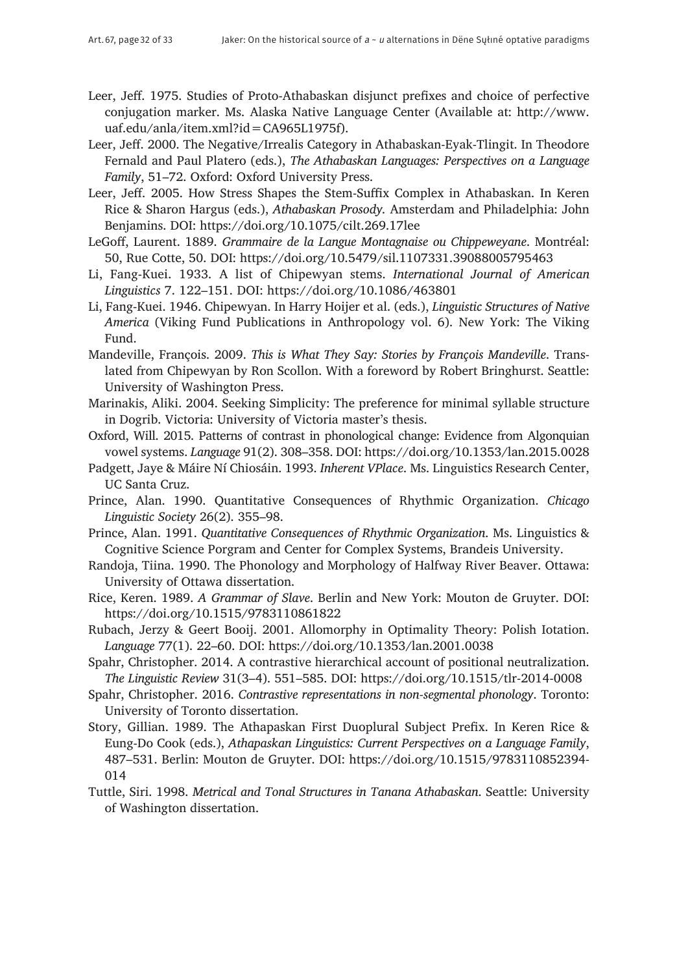- Leer, Jeff. 1975. Studies of Proto-Athabaskan disjunct prefixes and choice of perfective conjugation marker. Ms. Alaska Native Language Center (Available at: [http://www.](http://www.uaf.edu/anla/item.xml?id=CA965L1975f) [uaf.edu/anla/item.xml?id=CA965L1975f](http://www.uaf.edu/anla/item.xml?id=CA965L1975f)).
- Leer, Jeff. 2000. The Negative/Irrealis Category in Athabaskan-Eyak-Tlingit. In Theodore Fernald and Paul Platero (eds.), *The Athabaskan Languages: Perspectives on a Language Family*, 51–72. Oxford: Oxford University Press.
- Leer, Jeff. 2005. How Stress Shapes the Stem-Suffix Complex in Athabaskan. In Keren Rice & Sharon Hargus (eds.), *Athabaskan Prosody.* Amsterdam and Philadelphia: John Benjamins. DOI:<https://doi.org/10.1075/cilt.269.17lee>
- LeGoff, Laurent. 1889. *Grammaire de la Langue Montagnaise ou Chippeweyane*. Montréal: 50, Rue Cotte, 50. DOI: <https://doi.org/10.5479/sil.1107331.39088005795463>
- Li, Fang-Kuei. 1933. A list of Chipewyan stems. *International Journal of American Linguistics* 7. 122–151. DOI:<https://doi.org/10.1086/463801>
- Li, Fang-Kuei. 1946. Chipewyan. In Harry Hoijer et al. (eds.), *Linguistic Structures of Native America* (Viking Fund Publications in Anthropology vol. 6). New York: The Viking Fund.
- Mandeville, François. 2009. *This is What They Say: Stories by François Mandeville*. Translated from Chipewyan by Ron Scollon. With a foreword by Robert Bringhurst. Seattle: University of Washington Press.
- Marinakis, Aliki. 2004. Seeking Simplicity: The preference for minimal syllable structure in Dogrib. Victoria: University of Victoria master's thesis.
- Oxford, Will. 2015. Patterns of contrast in phonological change: Evidence from Algonquian vowel systems. *Language* 91(2). 308–358. DOI:<https://doi.org/10.1353/lan.2015.0028>
- Padgett, Jaye & Máire Ní Chiosáin. 1993. *Inherent VPlace*. Ms. Linguistics Research Center, UC Santa Cruz.
- Prince, Alan. 1990. Quantitative Consequences of Rhythmic Organization. *Chicago Linguistic Society* 26(2). 355–98.
- Prince, Alan. 1991. *Quantitative Consequences of Rhythmic Organization*. Ms. Linguistics & Cognitive Science Porgram and Center for Complex Systems, Brandeis University.
- Randoja, Tiina. 1990. The Phonology and Morphology of Halfway River Beaver. Ottawa: University of Ottawa dissertation.
- Rice, Keren. 1989. *A Grammar of Slave*. Berlin and New York: Mouton de Gruyter. DOI: <https://doi.org/10.1515/9783110861822>
- Rubach, Jerzy & Geert Booij. 2001. Allomorphy in Optimality Theory: Polish Iotation. *Language* 77(1). 22–60. DOI: <https://doi.org/10.1353/lan.2001.0038>
- Spahr, Christopher. 2014. A contrastive hierarchical account of positional neutralization. *The Linguistic Review* 31(3–4). 551–585. DOI:<https://doi.org/10.1515/tlr-2014-0008>
- Spahr, Christopher. 2016. *Contrastive representations in non-segmental phonology*. Toronto: University of Toronto dissertation.
- Story, Gillian. 1989. The Athapaskan First Duoplural Subject Prefix. In Keren Rice & Eung-Do Cook (eds.), *Athapaskan Linguistics: Current Perspectives on a Language Family*, 487–531. Berlin: Mouton de Gruyter. DOI: [https://doi.org/10.1515/9783110852394-](https://doi.org/10.1515/9783110852394-014) [014](https://doi.org/10.1515/9783110852394-014)
- Tuttle, Siri. 1998. *Metrical and Tonal Structures in Tanana Athabaskan*. Seattle: University of Washington dissertation.